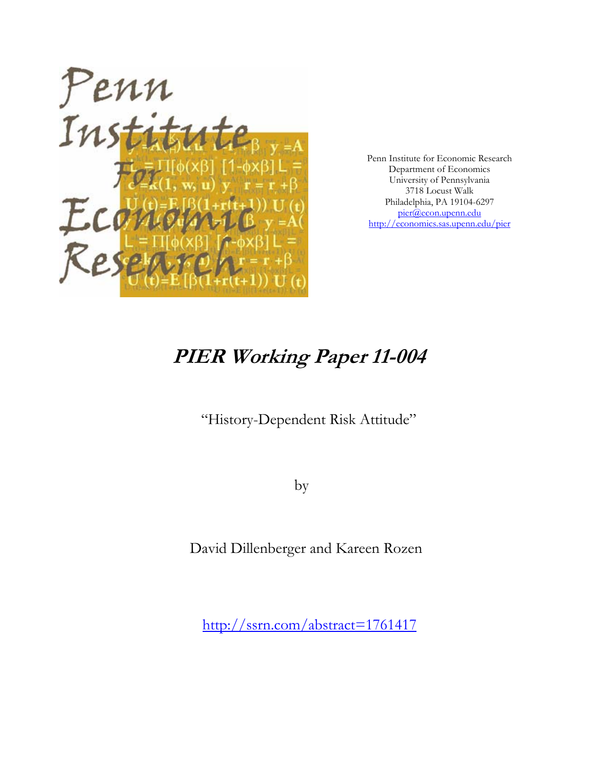

Penn Institute for Economic Research Department of Economics University of Pennsylvania 3718 Locust Walk Philadelphia, PA 19104-6297 pier@econ.upenn.edu http://economics.sas.upenn.edu/pier

# **PIER Working Paper 11-004**

"History-Dependent Risk Attitude"

by

David Dillenberger and Kareen Rozen

http://ssrn.com/abstract=1761417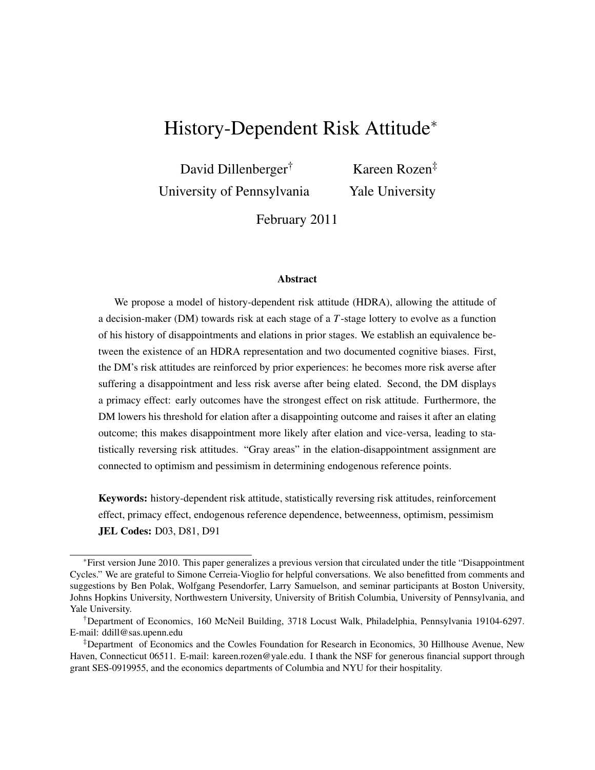# History-Dependent Risk Attitude<sup>∗</sup>

David Dillenberger† University of Pennsylvania

Kareen Rozen‡ Yale University

February 2011

#### Abstract

We propose a model of history-dependent risk attitude (HDRA), allowing the attitude of a decision-maker (DM) towards risk at each stage of a *T*-stage lottery to evolve as a function of his history of disappointments and elations in prior stages. We establish an equivalence between the existence of an HDRA representation and two documented cognitive biases. First, the DM's risk attitudes are reinforced by prior experiences: he becomes more risk averse after suffering a disappointment and less risk averse after being elated. Second, the DM displays a primacy effect: early outcomes have the strongest effect on risk attitude. Furthermore, the DM lowers his threshold for elation after a disappointing outcome and raises it after an elating outcome; this makes disappointment more likely after elation and vice-versa, leading to statistically reversing risk attitudes. "Gray areas" in the elation-disappointment assignment are connected to optimism and pessimism in determining endogenous reference points.

Keywords: history-dependent risk attitude, statistically reversing risk attitudes, reinforcement effect, primacy effect, endogenous reference dependence, betweenness, optimism, pessimism JEL Codes: D03, D81, D91

<sup>∗</sup>First version June 2010. This paper generalizes a previous version that circulated under the title "Disappointment Cycles." We are grateful to Simone Cerreia-Vioglio for helpful conversations. We also benefitted from comments and suggestions by Ben Polak, Wolfgang Pesendorfer, Larry Samuelson, and seminar participants at Boston University, Johns Hopkins University, Northwestern University, University of British Columbia, University of Pennsylvania, and Yale University.

<sup>†</sup>Department of Economics, 160 McNeil Building, 3718 Locust Walk, Philadelphia, Pennsylvania 19104-6297. E-mail: ddill@sas.upenn.edu

<sup>‡</sup>Department of Economics and the Cowles Foundation for Research in Economics, 30 Hillhouse Avenue, New Haven, Connecticut 06511. E-mail: kareen.rozen@yale.edu. I thank the NSF for generous financial support through grant SES-0919955, and the economics departments of Columbia and NYU for their hospitality.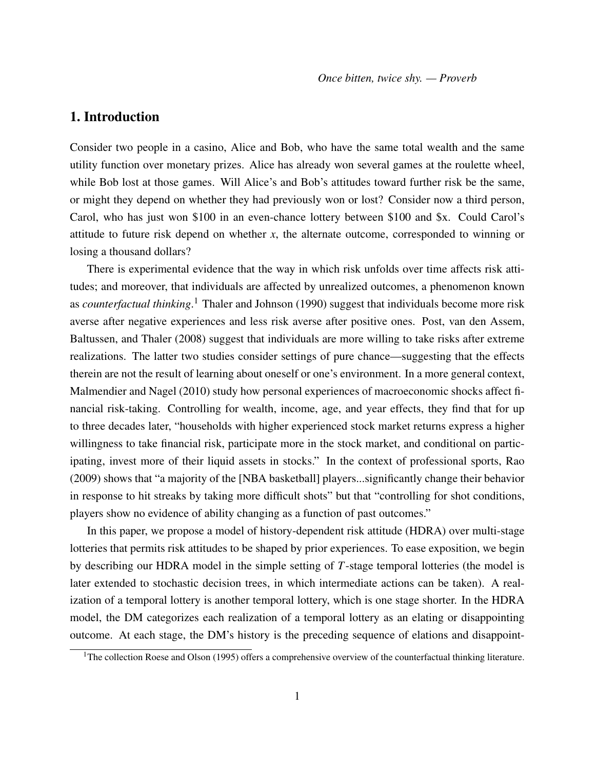# 1. Introduction

Consider two people in a casino, Alice and Bob, who have the same total wealth and the same utility function over monetary prizes. Alice has already won several games at the roulette wheel, while Bob lost at those games. Will Alice's and Bob's attitudes toward further risk be the same, or might they depend on whether they had previously won or lost? Consider now a third person, Carol, who has just won \$100 in an even-chance lottery between \$100 and \$x. Could Carol's attitude to future risk depend on whether *x*, the alternate outcome, corresponded to winning or losing a thousand dollars?

There is experimental evidence that the way in which risk unfolds over time affects risk attitudes; and moreover, that individuals are affected by unrealized outcomes, a phenomenon known as *counterfactual thinking*. <sup>1</sup> Thaler and Johnson (1990) suggest that individuals become more risk averse after negative experiences and less risk averse after positive ones. Post, van den Assem, Baltussen, and Thaler (2008) suggest that individuals are more willing to take risks after extreme realizations. The latter two studies consider settings of pure chance—suggesting that the effects therein are not the result of learning about oneself or one's environment. In a more general context, Malmendier and Nagel (2010) study how personal experiences of macroeconomic shocks affect financial risk-taking. Controlling for wealth, income, age, and year effects, they find that for up to three decades later, "households with higher experienced stock market returns express a higher willingness to take financial risk, participate more in the stock market, and conditional on participating, invest more of their liquid assets in stocks." In the context of professional sports, Rao (2009) shows that "a majority of the [NBA basketball] players...significantly change their behavior in response to hit streaks by taking more difficult shots" but that "controlling for shot conditions, players show no evidence of ability changing as a function of past outcomes."

In this paper, we propose a model of history-dependent risk attitude (HDRA) over multi-stage lotteries that permits risk attitudes to be shaped by prior experiences. To ease exposition, we begin by describing our HDRA model in the simple setting of *T*-stage temporal lotteries (the model is later extended to stochastic decision trees, in which intermediate actions can be taken). A realization of a temporal lottery is another temporal lottery, which is one stage shorter. In the HDRA model, the DM categorizes each realization of a temporal lottery as an elating or disappointing outcome. At each stage, the DM's history is the preceding sequence of elations and disappoint-

<sup>&</sup>lt;sup>1</sup>The collection Roese and Olson (1995) offers a comprehensive overview of the counterfactual thinking literature.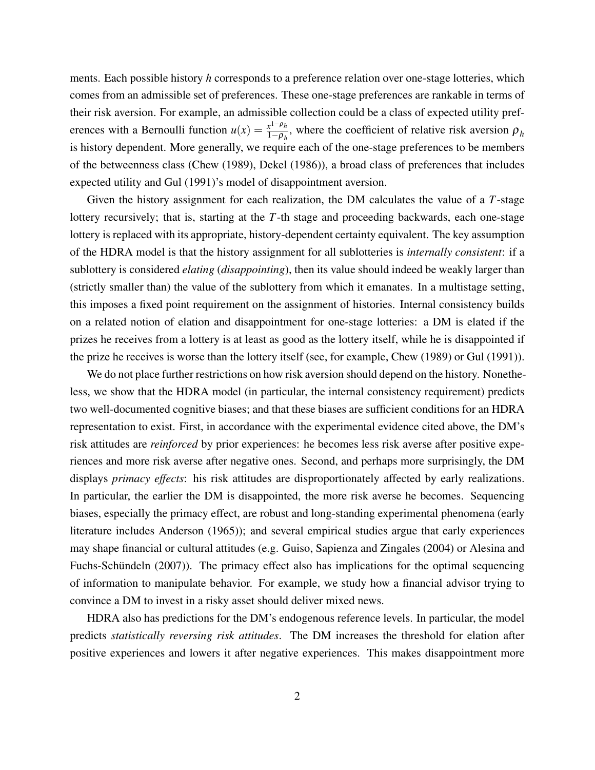ments. Each possible history *h* corresponds to a preference relation over one-stage lotteries, which comes from an admissible set of preferences. These one-stage preferences are rankable in terms of their risk aversion. For example, an admissible collection could be a class of expected utility preferences with a Bernoulli function  $u(x) = \frac{x^{1-\rho_h}}{1-\rho_h}$  $\frac{x^{1} - \mu_{h}}{1 - \rho_{h}}$ , where the coefficient of relative risk aversion  $\rho_{h}$ is history dependent. More generally, we require each of the one-stage preferences to be members of the betweenness class (Chew (1989), Dekel (1986)), a broad class of preferences that includes expected utility and Gul (1991)'s model of disappointment aversion.

Given the history assignment for each realization, the DM calculates the value of a *T*-stage lottery recursively; that is, starting at the *T*-th stage and proceeding backwards, each one-stage lottery is replaced with its appropriate, history-dependent certainty equivalent. The key assumption of the HDRA model is that the history assignment for all sublotteries is *internally consistent*: if a sublottery is considered *elating* (*disappointing*), then its value should indeed be weakly larger than (strictly smaller than) the value of the sublottery from which it emanates. In a multistage setting, this imposes a fixed point requirement on the assignment of histories. Internal consistency builds on a related notion of elation and disappointment for one-stage lotteries: a DM is elated if the prizes he receives from a lottery is at least as good as the lottery itself, while he is disappointed if the prize he receives is worse than the lottery itself (see, for example, Chew (1989) or Gul (1991)).

We do not place further restrictions on how risk aversion should depend on the history. Nonetheless, we show that the HDRA model (in particular, the internal consistency requirement) predicts two well-documented cognitive biases; and that these biases are sufficient conditions for an HDRA representation to exist. First, in accordance with the experimental evidence cited above, the DM's risk attitudes are *reinforced* by prior experiences: he becomes less risk averse after positive experiences and more risk averse after negative ones. Second, and perhaps more surprisingly, the DM displays *primacy effects*: his risk attitudes are disproportionately affected by early realizations. In particular, the earlier the DM is disappointed, the more risk averse he becomes. Sequencing biases, especially the primacy effect, are robust and long-standing experimental phenomena (early literature includes Anderson (1965)); and several empirical studies argue that early experiences may shape financial or cultural attitudes (e.g. Guiso, Sapienza and Zingales (2004) or Alesina and Fuchs-Schündeln (2007)). The primacy effect also has implications for the optimal sequencing of information to manipulate behavior. For example, we study how a financial advisor trying to convince a DM to invest in a risky asset should deliver mixed news.

HDRA also has predictions for the DM's endogenous reference levels. In particular, the model predicts *statistically reversing risk attitudes*. The DM increases the threshold for elation after positive experiences and lowers it after negative experiences. This makes disappointment more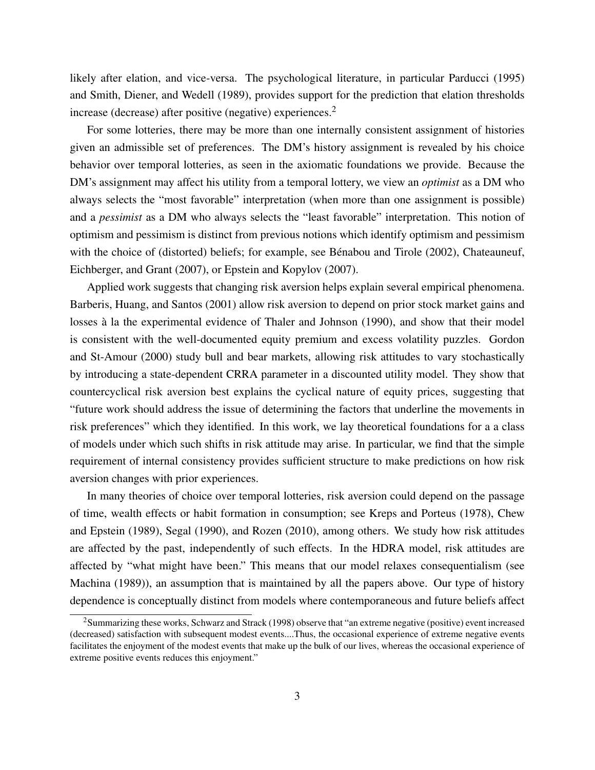likely after elation, and vice-versa. The psychological literature, in particular Parducci (1995) and Smith, Diener, and Wedell (1989), provides support for the prediction that elation thresholds increase (decrease) after positive (negative) experiences.<sup>2</sup>

For some lotteries, there may be more than one internally consistent assignment of histories given an admissible set of preferences. The DM's history assignment is revealed by his choice behavior over temporal lotteries, as seen in the axiomatic foundations we provide. Because the DM's assignment may affect his utility from a temporal lottery, we view an *optimist* as a DM who always selects the "most favorable" interpretation (when more than one assignment is possible) and a *pessimist* as a DM who always selects the "least favorable" interpretation. This notion of optimism and pessimism is distinct from previous notions which identify optimism and pessimism with the choice of (distorted) beliefs; for example, see Bénabou and Tirole (2002), Chateauneuf, Eichberger, and Grant (2007), or Epstein and Kopylov (2007).

Applied work suggests that changing risk aversion helps explain several empirical phenomena. Barberis, Huang, and Santos (2001) allow risk aversion to depend on prior stock market gains and losses à la the experimental evidence of Thaler and Johnson (1990), and show that their model is consistent with the well-documented equity premium and excess volatility puzzles. Gordon and St-Amour (2000) study bull and bear markets, allowing risk attitudes to vary stochastically by introducing a state-dependent CRRA parameter in a discounted utility model. They show that countercyclical risk aversion best explains the cyclical nature of equity prices, suggesting that "future work should address the issue of determining the factors that underline the movements in risk preferences" which they identified. In this work, we lay theoretical foundations for a a class of models under which such shifts in risk attitude may arise. In particular, we find that the simple requirement of internal consistency provides sufficient structure to make predictions on how risk aversion changes with prior experiences.

In many theories of choice over temporal lotteries, risk aversion could depend on the passage of time, wealth effects or habit formation in consumption; see Kreps and Porteus (1978), Chew and Epstein (1989), Segal (1990), and Rozen (2010), among others. We study how risk attitudes are affected by the past, independently of such effects. In the HDRA model, risk attitudes are affected by "what might have been." This means that our model relaxes consequentialism (see Machina (1989)), an assumption that is maintained by all the papers above. Our type of history dependence is conceptually distinct from models where contemporaneous and future beliefs affect

<sup>&</sup>lt;sup>2</sup>Summarizing these works, Schwarz and Strack (1998) observe that "an extreme negative (positive) event increased (decreased) satisfaction with subsequent modest events....Thus, the occasional experience of extreme negative events facilitates the enjoyment of the modest events that make up the bulk of our lives, whereas the occasional experience of extreme positive events reduces this enjoyment."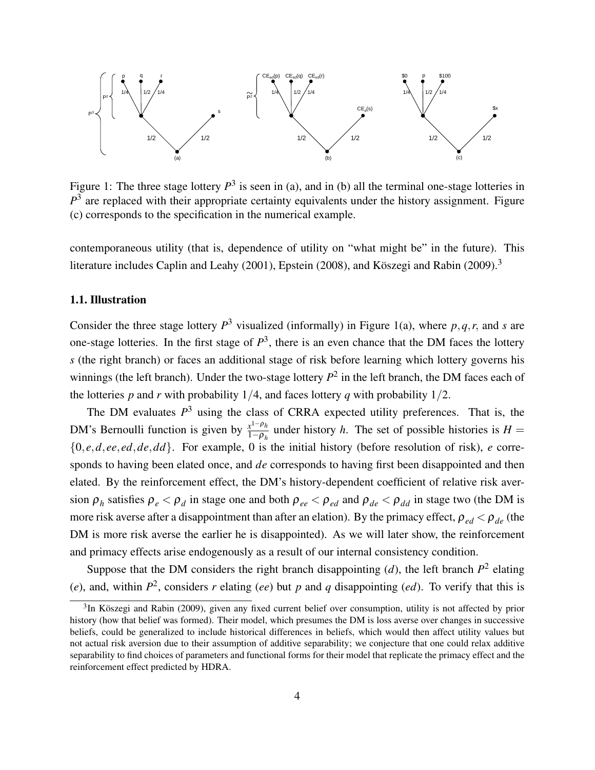

Figure 1: The three stage lottery  $P^3$  is seen in (a), and in (b) all the terminal one-stage lotteries in  $P<sup>3</sup>$  are replaced with their appropriate certainty equivalents under the history assignment. Figure (c) corresponds to the specification in the numerical example.

contemporaneous utility (that is, dependence of utility on "what might be" in the future). This literature includes Caplin and Leahy (2001), Epstein (2008), and Köszegi and Rabin (2009).<sup>3</sup>

#### 1.1. Illustration

Consider the three stage lottery  $P^3$  visualized (informally) in Figure 1(a), where  $p, q, r$ , and *s* are one-stage lotteries. In the first stage of  $P<sup>3</sup>$ , there is an even chance that the DM faces the lottery *s* (the right branch) or faces an additional stage of risk before learning which lottery governs his winnings (the left branch). Under the two-stage lottery  $P^2$  in the left branch, the DM faces each of the lotteries  $p$  and  $r$  with probability 1/4, and faces lottery  $q$  with probability 1/2.

The DM evaluates  $P<sup>3</sup>$  using the class of CRRA expected utility preferences. That is, the DM's Bernoulli function is given by  $\frac{x^{1-\rho_h}}{1-\rho_h}$  $\frac{x^1 - p_h}{1 - \rho_h}$  under history *h*. The set of possible histories is *H* = {0, *e*,*d*, *ee*, *ed*,*de*,*dd*}. For example, 0 is the initial history (before resolution of risk), *e* corresponds to having been elated once, and *de* corresponds to having first been disappointed and then elated. By the reinforcement effect, the DM's history-dependent coefficient of relative risk aversion  $\rho_h$  satisfies  $\rho_e < \rho_d$  in stage one and both  $\rho_{ee} < \rho_{ed}$  and  $\rho_{de} < \rho_{dd}$  in stage two (the DM is more risk averse after a disappointment than after an elation). By the primacy effect,  $\rho_{ed} < \rho_{de}$  (the DM is more risk averse the earlier he is disappointed). As we will later show, the reinforcement and primacy effects arise endogenously as a result of our internal consistency condition.

Suppose that the DM considers the right branch disappointing  $(d)$ , the left branch  $P^2$  elating (*e*), and, within  $P^2$ , considers *r* elating (*ee*) but *p* and *q* disappointing (*ed*). To verify that this is

<sup>&</sup>lt;sup>3</sup>In Köszegi and Rabin (2009), given any fixed current belief over consumption, utility is not affected by prior history (how that belief was formed). Their model, which presumes the DM is loss averse over changes in successive beliefs, could be generalized to include historical differences in beliefs, which would then affect utility values but not actual risk aversion due to their assumption of additive separability; we conjecture that one could relax additive separability to find choices of parameters and functional forms for their model that replicate the primacy effect and the reinforcement effect predicted by HDRA.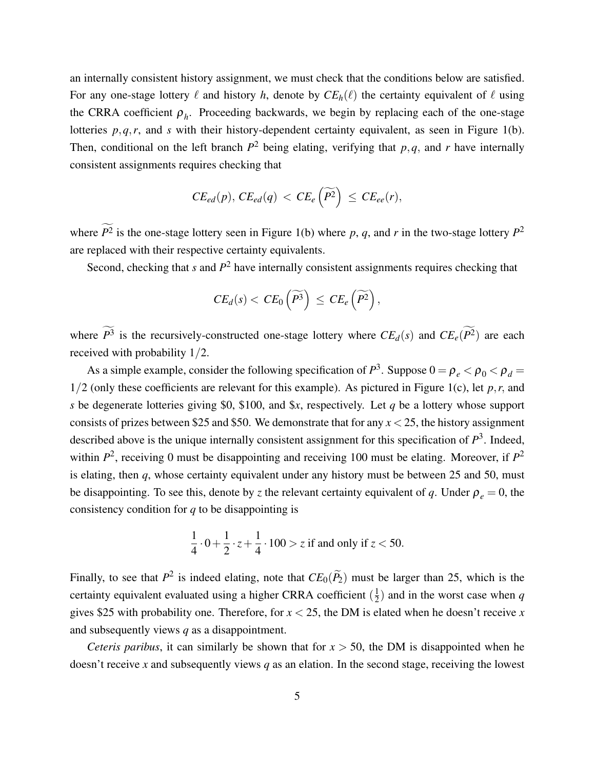an internally consistent history assignment, we must check that the conditions below are satisfied. For any one-stage lottery  $\ell$  and history *h*, denote by  $CE_h(\ell)$  the certainty equivalent of  $\ell$  using the CRRA coefficient  $\rho_h$ . Proceeding backwards, we begin by replacing each of the one-stage lotteries *p*,*q*,*r*, and *s* with their history-dependent certainty equivalent, as seen in Figure 1(b). Then, conditional on the left branch  $P^2$  being elating, verifying that  $p, q$ , and  $r$  have internally consistent assignments requires checking that

$$
CE_{ed}(p), CE_{ed}(q) < CE_e\left(\widetilde{P^2}\right) \leq CE_{ee}(r),
$$

where  $P^2$  is the one-stage lottery seen in Figure 1(b) where p, q, and r in the two-stage lottery  $P^2$ are replaced with their respective certainty equivalents.

Second, checking that *s* and *P* <sup>2</sup> have internally consistent assignments requires checking that

$$
CE_d(s) < CE_0\left(\widetilde{P^3}\right) \le CE_e\left(\widetilde{P^2}\right),
$$

where  $P^3$  is the recursively-constructed one-stage lottery where  $CE_d(s)$  and  $CE_e(P^2)$  are each received with probability 1/2.

As a simple example, consider the following specification of  $P^3$ . Suppose  $0 = \rho_e < \rho_0 < \rho_d =$  $1/2$  (only these coefficients are relevant for this example). As pictured in Figure 1(c), let  $p, r$ , and *s* be degenerate lotteries giving \$0, \$100, and \$*x*, respectively. Let *q* be a lottery whose support consists of prizes between \$25 and \$50. We demonstrate that for any  $x < 25$ , the history assignment described above is the unique internally consistent assignment for this specification of  $P^3$ . Indeed, within  $P^2$ , receiving 0 must be disappointing and receiving 100 must be elating. Moreover, if  $P^2$ is elating, then *q*, whose certainty equivalent under any history must be between 25 and 50, must be disappointing. To see this, denote by *z* the relevant certainty equivalent of *q*. Under  $\rho_e = 0$ , the consistency condition for *q* to be disappointing is

$$
\frac{1}{4} \cdot 0 + \frac{1}{2} \cdot z + \frac{1}{4} \cdot 100 > z \text{ if and only if } z < 50.
$$

Finally, to see that  $P^2$  is indeed elating, note that  $CE_0(\tilde{P}_2)$  must be larger than 25, which is the certainty equivalent evaluated using a higher CRRA coefficient  $(\frac{1}{2})$  $\frac{1}{2}$ ) and in the worst case when *q* gives \$25 with probability one. Therefore, for  $x < 25$ , the DM is elated when he doesn't receive x and subsequently views *q* as a disappointment.

*Ceteris paribus*, it can similarly be shown that for  $x > 50$ , the DM is disappointed when he doesn't receive *x* and subsequently views *q* as an elation. In the second stage, receiving the lowest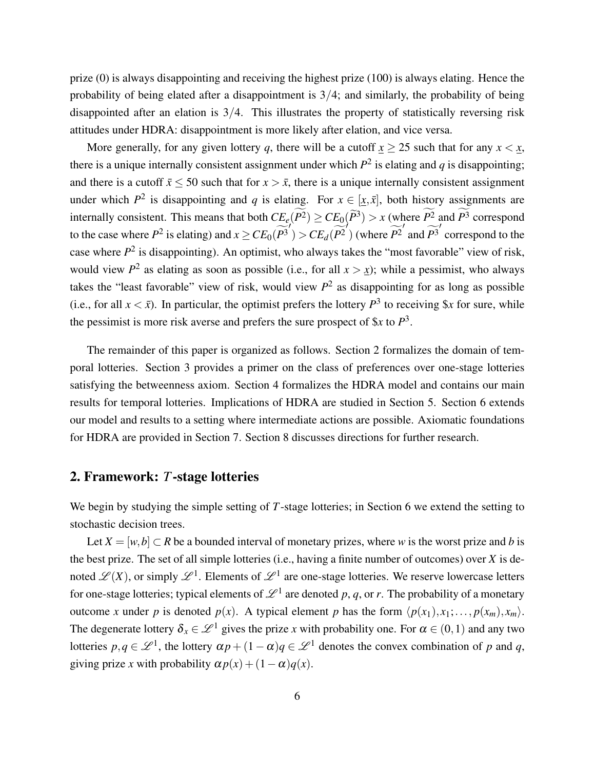prize (0) is always disappointing and receiving the highest prize (100) is always elating. Hence the probability of being elated after a disappointment is  $3/4$ ; and similarly, the probability of being disappointed after an elation is  $3/4$ . This illustrates the property of statistically reversing risk attitudes under HDRA: disappointment is more likely after elation, and vice versa.

More generally, for any given lottery *q*, there will be a cutoff  $x \ge 25$  such that for any  $x < x$ , there is a unique internally consistent assignment under which  $P^2$  is elating and  $q$  is disappointing; and there is a cutoff  $\bar{x}$  < 50 such that for  $x > \bar{x}$ , there is a unique internally consistent assignment under which  $P^2$  is disappointing and *q* is elating. For  $x \in [x, \bar{x}]$ , both history assignments are internally consistent. This means that both  $CE_e(P^2) \geq CE_0(\widetilde{P}^3) > x$  (where  $P^2$  and  $P^3$  correspond to the case where  $P^2$  is elating) and  $x \geq CE_0(\widetilde{P^3}') > CE_d(\widetilde{P^2}')$  (where  $\widetilde{P^2}'$  and  $\widetilde{P^3}'$  correspond to the case where  $P^2$  is disappointing). An optimist, who always takes the "most favorable" view of risk, would view  $P^2$  as elating as soon as possible (i.e., for all  $x > x$ ); while a pessimist, who always takes the "least favorable" view of risk, would view  $P^2$  as disappointing for as long as possible (i.e., for all  $x < \bar{x}$ ). In particular, the optimist prefers the lottery  $P^3$  to receiving \$*x* for sure, while the pessimist is more risk averse and prefers the sure prospect of  $x$  to  $P^3$ .

The remainder of this paper is organized as follows. Section 2 formalizes the domain of temporal lotteries. Section 3 provides a primer on the class of preferences over one-stage lotteries satisfying the betweenness axiom. Section 4 formalizes the HDRA model and contains our main results for temporal lotteries. Implications of HDRA are studied in Section 5. Section 6 extends our model and results to a setting where intermediate actions are possible. Axiomatic foundations for HDRA are provided in Section 7. Section 8 discusses directions for further research.

# 2. Framework: *T*-stage lotteries

We begin by studying the simple setting of *T*-stage lotteries; in Section 6 we extend the setting to stochastic decision trees.

Let  $X = [w, b] \subset R$  be a bounded interval of monetary prizes, where *w* is the worst prize and *b* is the best prize. The set of all simple lotteries (i.e., having a finite number of outcomes) over *X* is denoted  $\mathscr{L}(X)$ , or simply  $\mathscr{L}^1$ . Elements of  $\mathscr{L}^1$  are one-stage lotteries. We reserve lowercase letters for one-stage lotteries; typical elements of  $\mathscr{L}^1$  are denoted  $p, q,$  or  $r.$  The probability of a monetary outcome *x* under *p* is denoted  $p(x)$ . A typical element *p* has the form  $\langle p(x_1), x_1; \ldots, p(x_m), x_m \rangle$ . The degenerate lottery  $\delta_x \in \mathcal{L}^1$  gives the prize *x* with probability one. For  $\alpha \in (0,1)$  and any two lotteries  $p, q \in \mathcal{L}^1$ , the lottery  $\alpha p + (1 - \alpha)q \in \mathcal{L}^1$  denotes the convex combination of *p* and *q*, giving prize *x* with probability  $\alpha p(x) + (1 - \alpha)q(x)$ .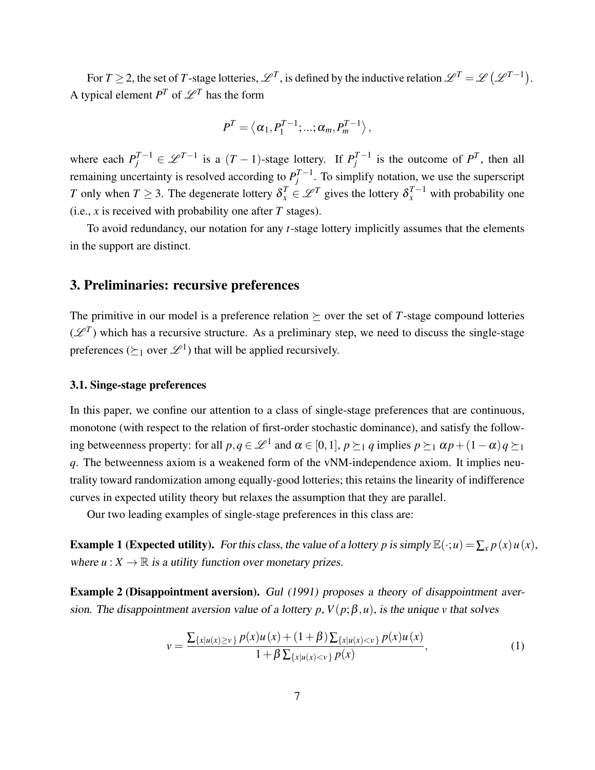For  $T \ge 2$ , the set of *T*-stage lotteries,  $\mathscr{L}^T$ , is defined by the inductive relation  $\mathscr{L}^T = \mathscr{L}(\mathscr{L}^{T-1})$ . A typical element  $P^T$  of  $\mathscr{L}^T$  has the form

$$
P^T = \langle \alpha_1, P_1^{T-1}; \ldots; \alpha_m, P_m^{T-1} \rangle,
$$

where each  $P_j^{T-1} \in \mathcal{L}^{T-1}$  is a  $(T-1)$ -stage lottery. If  $P_j^{T-1}$  $j^{T-1}$  is the outcome of  $P^T$ , then all remaining uncertainty is resolved according to  $P_i^{T-1}$  $j^{I-1}$ . To simplify notation, we use the superscript *T* only when  $T \geq 3$ . The degenerate lottery  $\delta_x^T \in \mathcal{L}^T$  gives the lottery  $\delta_x^{T-1}$  with probability one (i.e., *x* is received with probability one after *T* stages).

To avoid redundancy, our notation for any *t*-stage lottery implicitly assumes that the elements in the support are distinct.

## 3. Preliminaries: recursive preferences

The primitive in our model is a preference relation  $\succeq$  over the set of *T*-stage compound lotteries  $(\mathscr{L}^T)$  which has a recursive structure. As a preliminary step, we need to discuss the single-stage preferences ( $\succeq_1$  over  $\mathscr{L}^1$ ) that will be applied recursively.

#### 3.1. Singe-stage preferences

In this paper, we confine our attention to a class of single-stage preferences that are continuous, monotone (with respect to the relation of first-order stochastic dominance), and satisfy the following betweenness property: for all  $p, q \in \mathcal{L}^1$  and  $\alpha \in [0,1], p \succeq_1 q$  implies  $p \succeq_1 \alpha p + (1-\alpha) q \succeq_1$ *q*. The betweenness axiom is a weakened form of the vNM-independence axiom. It implies neutrality toward randomization among equally-good lotteries; this retains the linearity of indifference curves in expected utility theory but relaxes the assumption that they are parallel.

Our two leading examples of single-stage preferences in this class are:

Example 1 (Expected utility). For this class, the value of a lottery *p* is simply  $\mathbb{E}(\cdot; u) = \sum_{x} p(x) u(x)$ , where  $u: X \to \mathbb{R}$  is a utility function over monetary prizes.

Example 2 (Disappointment aversion). Gul (1991) proposes a theory of disappointment aversion. The disappointment aversion value of a lottery  $p$ ,  $V(p; \beta, u)$ , is the unique *v* that solves

$$
v = \frac{\sum_{\{x|u(x)\geq v\}} p(x)u(x) + (1+\beta)\sum_{\{x|u(x)< v\}} p(x)u(x)}{1+\beta\sum_{\{x|u(x)< v\}} p(x)},\tag{1}
$$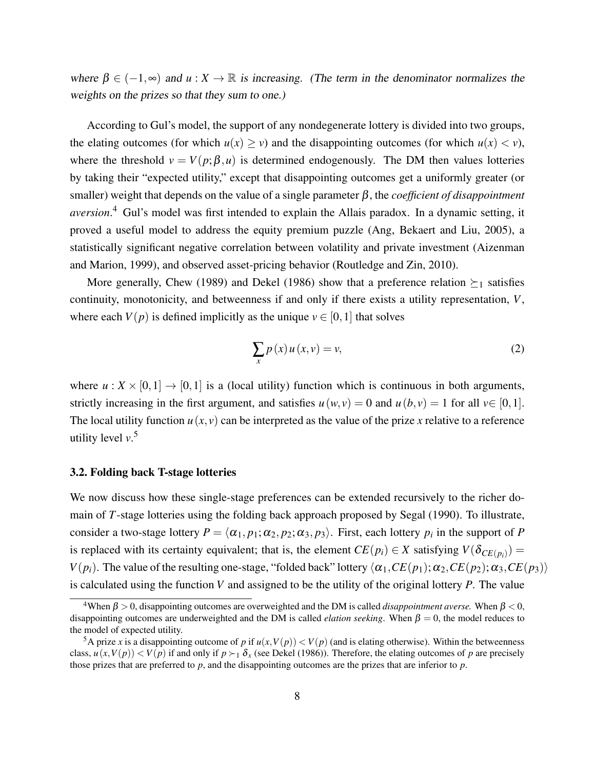where  $\beta \in (-1, \infty)$  and  $u : X \to \mathbb{R}$  is increasing. (The term in the denominator normalizes the weights on the prizes so that they sum to one.)

According to Gul's model, the support of any nondegenerate lottery is divided into two groups, the elating outcomes (for which  $u(x) \ge v$ ) and the disappointing outcomes (for which  $u(x) < v$ ), where the threshold  $v = V(p; \beta, u)$  is determined endogenously. The DM then values lotteries by taking their "expected utility," except that disappointing outcomes get a uniformly greater (or smaller) weight that depends on the value of a single parameter β, the *coefficient of disappointment aversion*. <sup>4</sup> Gul's model was first intended to explain the Allais paradox. In a dynamic setting, it proved a useful model to address the equity premium puzzle (Ang, Bekaert and Liu, 2005), a statistically significant negative correlation between volatility and private investment (Aizenman and Marion, 1999), and observed asset-pricing behavior (Routledge and Zin, 2010).

More generally, Chew (1989) and Dekel (1986) show that a preference relation  $\succeq_1$  satisfies continuity, monotonicity, and betweenness if and only if there exists a utility representation, *V*, where each  $V(p)$  is defined implicitly as the unique  $v \in [0,1]$  that solves

$$
\sum_{x} p(x) u(x, v) = v,\tag{2}
$$

where  $u: X \times [0,1] \to [0,1]$  is a (local utility) function which is continuous in both arguments, strictly increasing in the first argument, and satisfies  $u(w, v) = 0$  and  $u(b, v) = 1$  for all  $v \in [0, 1]$ . The local utility function  $u(x, y)$  can be interpreted as the value of the prize x relative to a reference utility level *v*. 5

#### 3.2. Folding back T-stage lotteries

We now discuss how these single-stage preferences can be extended recursively to the richer domain of *T*-stage lotteries using the folding back approach proposed by Segal (1990). To illustrate, consider a two-stage lottery  $P = \langle \alpha_1, p_1; \alpha_2, p_2; \alpha_3, p_3 \rangle$ . First, each lottery  $p_i$  in the support of *P* is replaced with its certainty equivalent; that is, the element  $CE(p_i) \in X$  satisfying  $V(\delta_{CE(p_i)}) =$ *V*( $p_i$ ). The value of the resulting one-stage, "folded back" lottery  $\langle \alpha_1, CE(p_1); \alpha_2, CE(p_2); \alpha_3, CE(p_3) \rangle$ is calculated using the function *V* and assigned to be the utility of the original lottery *P*. The value

<sup>&</sup>lt;sup>4</sup>When  $\beta > 0$ , disappointing outcomes are overweighted and the DM is called *disappointment averse*. When  $\beta < 0$ , disappointing outcomes are underweighted and the DM is called *elation seeking*. When  $\beta = 0$ , the model reduces to the model of expected utility.

<sup>&</sup>lt;sup>5</sup>A prize *x* is a disappointing outcome of *p* if  $u(x, V(p)) < V(p)$  (and is elating otherwise). Within the betweenness class,  $u(x, V(p)) < V(p)$  if and only if  $p \succ_1 \delta_x$  (see Dekel (1986)). Therefore, the elating outcomes of *p* are precisely those prizes that are preferred to *p*, and the disappointing outcomes are the prizes that are inferior to *p*.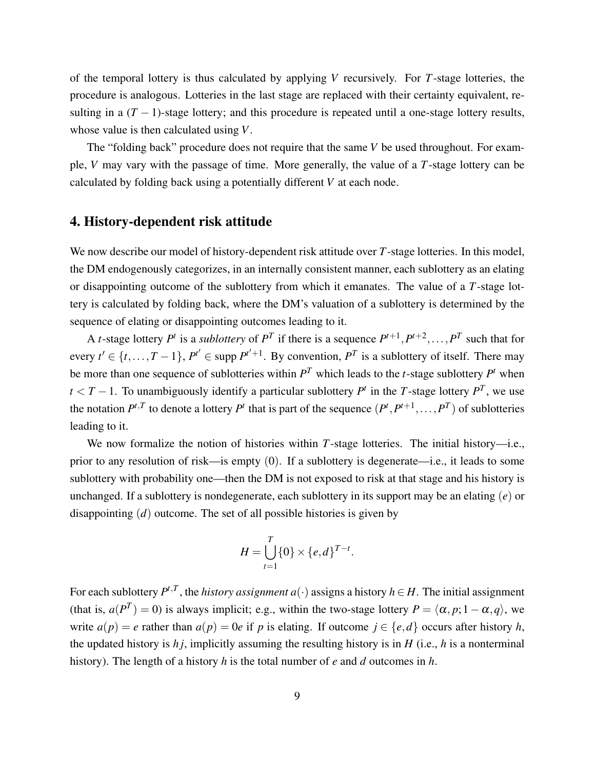of the temporal lottery is thus calculated by applying *V* recursively. For *T*-stage lotteries, the procedure is analogous. Lotteries in the last stage are replaced with their certainty equivalent, resulting in a  $(T - 1)$ -stage lottery; and this procedure is repeated until a one-stage lottery results, whose value is then calculated using *V*.

The "folding back" procedure does not require that the same *V* be used throughout. For example, *V* may vary with the passage of time. More generally, the value of a *T*-stage lottery can be calculated by folding back using a potentially different *V* at each node.

# 4. History-dependent risk attitude

We now describe our model of history-dependent risk attitude over *T*-stage lotteries. In this model, the DM endogenously categorizes, in an internally consistent manner, each sublottery as an elating or disappointing outcome of the sublottery from which it emanates. The value of a *T*-stage lottery is calculated by folding back, where the DM's valuation of a sublottery is determined by the sequence of elating or disappointing outcomes leading to it.

A *t*-stage lottery  $P^t$  is a *sublottery* of  $P^T$  if there is a sequence  $P^{t+1}, P^{t+2}, \ldots, P^T$  such that for every  $t' \in \{t, ..., T-1\}$ ,  $P^{t'} \in \text{supp } P^{t'+1}$ . By convention,  $P^T$  is a sublottery of itself. There may be more than one sequence of sublotteries within  $P<sup>T</sup>$  which leads to the *t*-stage sublottery  $P<sup>t</sup>$  when  $t < T - 1$ . To unambiguously identify a particular sublottery  $P<sup>t</sup>$  in the *T*-stage lottery  $P<sup>T</sup>$ , we use the notation  $P^{t,T}$  to denote a lottery  $P^t$  that is part of the sequence  $(P^t, P^{t+1}, \ldots, P^T)$  of sublotteries leading to it.

We now formalize the notion of histories within *T*-stage lotteries. The initial history—i.e., prior to any resolution of risk—is empty (0). If a sublottery is degenerate—i.e., it leads to some sublottery with probability one—then the DM is not exposed to risk at that stage and his history is unchanged. If a sublottery is nondegenerate, each sublottery in its support may be an elating (*e*) or disappointing (*d*) outcome. The set of all possible histories is given by

$$
H = \bigcup_{t=1}^T \{0\} \times \{e,d\}^{T-t}.
$$

For each sublottery  $P^{t,T}$ , the *history assignment a*( $\cdot$ ) assigns a history  $h \in H$ . The initial assignment (that is,  $a(P^T) = 0$ ) is always implicit; e.g., within the two-stage lottery  $P = \langle \alpha, p; 1 - \alpha, q \rangle$ , we write  $a(p) = e$  rather than  $a(p) = 0e$  if *p* is elating. If outcome  $j \in \{e, d\}$  occurs after history *h*, the updated history is  $h_i$ , implicitly assuming the resulting history is in  $H$  (i.e.,  $h$  is a nonterminal history). The length of a history *h* is the total number of *e* and *d* outcomes in *h*.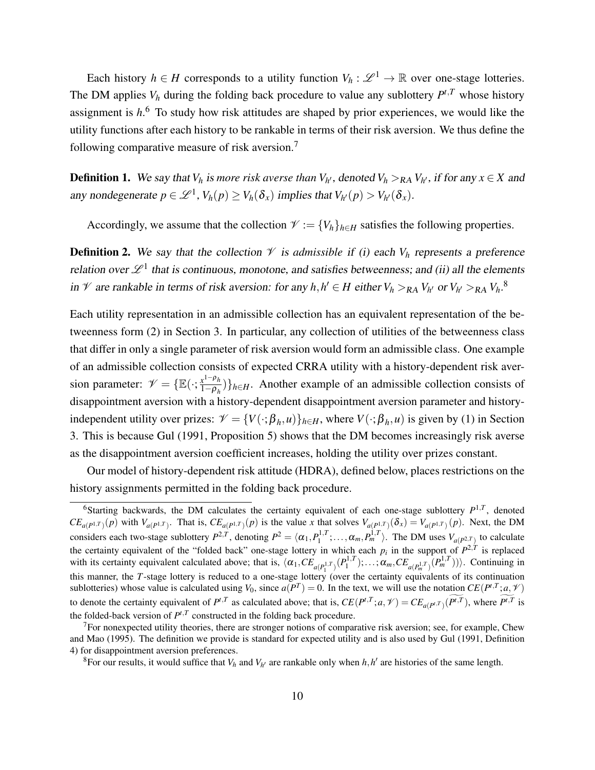Each history  $h \in H$  corresponds to a utility function  $V_h : \mathcal{L}^1 \to \mathbb{R}$  over one-stage lotteries. The DM applies  $V_h$  during the folding back procedure to value any sublottery  $P^{t,T}$  whose history assignment is *h*. <sup>6</sup> To study how risk attitudes are shaped by prior experiences, we would like the utility functions after each history to be rankable in terms of their risk aversion. We thus define the following comparative measure of risk aversion.<sup>7</sup>

**Definition 1.** We say that  $V_h$  is more risk averse than  $V_{h'}$ , denoted  $V_h >_{RA} V_{h'}$ , if for any  $x \in X$  and any nondegenerate  $p \in \mathcal{L}^1$ ,  $V_h(p) \geq V_h(\delta_x)$  implies that  $V_{h'}(p) > V_{h'}(\delta_x)$ .

Accordingly, we assume that the collection  $\mathcal{V} := \{V_h\}_{h \in H}$  satisfies the following properties.

**Definition 2.** We say that the collection  $V$  is *admissible* if (i) each  $V_h$  represents a preference relation over  $\mathscr{L}^1$  that is continuous, monotone, and satisfies betweenness; and (ii) all the elements in  $\mathcal{V}$  are rankable in terms of risk aversion: for any  $h, h' \in H$  either  $V_h >_{RA} V_{h'}$  or  $V_{h'} >_{RA} V_h$ .<sup>8</sup>

Each utility representation in an admissible collection has an equivalent representation of the betweenness form (2) in Section 3. In particular, any collection of utilities of the betweenness class that differ in only a single parameter of risk aversion would form an admissible class. One example of an admissible collection consists of expected CRRA utility with a history-dependent risk aversion parameter:  $\mathcal{V} = \{ \mathbb{E}(\cdot; \frac{x^{1-\rho_h}}{1-\rho_h}) \}$  $\left\{\frac{x^2 - \mu_h}{1 - \rho_h}\right\}$ *h*∈*H*. Another example of an admissible collection consists of disappointment aversion with a history-dependent disappointment aversion parameter and historyindependent utility over prizes:  $\mathcal{V} = \{V(\cdot;\beta_h,u)\}_{h\in H}$ , where  $V(\cdot;\beta_h,u)$  is given by (1) in Section 3. This is because Gul (1991, Proposition 5) shows that the DM becomes increasingly risk averse as the disappointment aversion coefficient increases, holding the utility over prizes constant.

Our model of history-dependent risk attitude (HDRA), defined below, places restrictions on the history assignments permitted in the folding back procedure.

<sup>&</sup>lt;sup>6</sup>Starting backwards, the DM calculates the certainty equivalent of each one-stage sublottery  $P^{1,T}$ , denoted  $CE_{a(P^{1,T})}(p)$  with  $V_{a(P^{1,T})}$ . That is,  $CE_{a(P^{1,T})}(p)$  is the value x that solves  $V_{a(P^{1,T})}(\delta_x) = V_{a(P^{1,T})}(p)$ . Next, the DM considers each two-stage sublottery  $P^{2,T}$ , denoting  $P^2 = \langle \alpha_1, P_1^{1,T}; \dots, \alpha_m, P_m^{1,T} \rangle$ . The DM uses  $V_{a(P^{2,T})}$  to calculate 1 the certainty equivalent of the "folded back" one-stage lottery in which each  $p_i$  in the support of  $P^{2,T}$  is replaced with its certainty equivalent calculated above; that is,  $\langle \alpha_1, CE_{a(P_1^{1,T})}(P_1^{1,T}), \dots, \alpha_m, CE_{a(P_m^{1,T})}(P_m^{1,T})) \rangle$ . Continuing in this manner, the *T*-stage lottery is reduced to a one-stage lottery (over the certainty equivalents of its continuation sublotteries) whose value is calculated using  $V_0$ , since  $a(P^T) = 0$ . In the text, we will use the notation  $CE(P^{t,T}; a, \mathcal{V})$ to denote the certainty equivalent of  $P^{t,T}$  as calculated above; that is,  $CE(P^{t,T}; a, \mathcal{V}) = CE_{a(P^{t,T})}(P^{t,T})$ , where  $P^{t,T}$  is the folded-back version of  $P^{t,T}$  constructed in the folding back procedure.

 $<sup>7</sup>$  For nonexpected utility theories, there are stronger notions of comparative risk aversion; see, for example, Chew</sup> and Mao (1995). The definition we provide is standard for expected utility and is also used by Gul (1991, Definition 4) for disappointment aversion preferences.

<sup>&</sup>lt;sup>8</sup>For our results, it would suffice that  $V_h$  and  $V_{h'}$  are rankable only when  $h, h'$  are histories of the same length.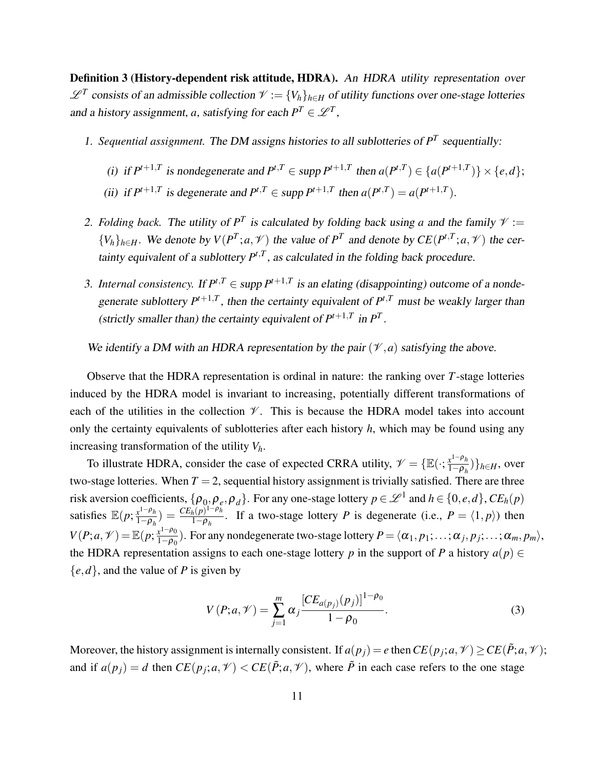Definition 3 (History-dependent risk attitude, HDRA). An HDRA utility representation over  $\mathscr{L}^T$  consists of an admissible collection  $\mathscr{V} := \{V_h\}_{h \in H}$  of utility functions over one-stage lotteries and a history assignment, *a*, satisfying for each  $P^T \in \mathcal{L}^T$ ,

- 1. Sequential assignment. The DM assigns histories to all sublotteries of  $P<sup>T</sup>$  sequentially:
	- (i) if  $P^{t+1,T}$  is nondegenerate and  $P^{t,T} \in \text{supp } P^{t+1,T}$  then  $a(P^{t,T}) \in \{a(P^{t+1,T})\} \times \{e,d\};$
	- (ii) if  $P^{t+1,T}$  is degenerate and  $P^{t,T} \in \text{supp } P^{t+1,T}$  then  $a(P^{t,T}) = a(P^{t+1,T})$ .
- 2. *Folding back*. The utility of  $P<sup>T</sup>$  is calculated by folding back using *a* and the family  $\mathcal{V} :=$  $\{V_h\}_{h \in H}$ . We denote by  $V(P^T; a, \mathcal{V})$  the value of  $P^T$  and denote by  $CE(P^{t,T}; a, \mathcal{V})$  the certainty equivalent of a sublottery  $P^{t,T}$ , as calculated in the folding back procedure.
- 3. *Internal consistency.* If  $P^{t,T} \in \text{supp } P^{t+1,T}$  is an elating (disappointing) outcome of a nondegenerate sublottery  $P^{t+1,T}$ , then the certainty equivalent of  $P^{t,T}$  must be weakly larger than (strictly smaller than) the certainty equivalent of  $P^{t+1,T}$  in  $P^{T}$ .

We identify a DM with an HDRA representation by the pair  $(\mathcal{V}, a)$  satisfying the above.

Observe that the HDRA representation is ordinal in nature: the ranking over *T*-stage lotteries induced by the HDRA model is invariant to increasing, potentially different transformations of each of the utilities in the collection  $\mathcal V$ . This is because the HDRA model takes into account only the certainty equivalents of sublotteries after each history *h*, which may be found using any increasing transformation of the utility *Vh*.

To illustrate HDRA, consider the case of expected CRRA utility,  $\mathcal{V} = \{ \mathbb{E}(\cdot; \frac{x^{1-\rho_h}}{1-\rho_h}) \}$  $\frac{x^1 - \rho_h}{1 - \rho_h}$ }<sub>*h*∈*H*</sub>, over two-stage lotteries. When  $T = 2$ , sequential history assignment is trivially satisfied. There are three risk aversion coefficients,  $\{\rho_0, \rho_e, \rho_d\}$ . For any one-stage lottery  $p \in \mathcal{L}^1$  and  $h \in \{0, e, d\}$ ,  $CE_h(p)$ satisfies  $\mathbb{E}(p; \frac{x^{1-\rho_h}}{1-\rho_h})$  $\frac{x^{1-\rho}h}{1-\rho_h}$ ) =  $\frac{CE_h(p)^{1-\rho}h}{1-\rho_h}$  $\frac{h(p)^{1-p}h}{1-\rho_h}$ . If a two-stage lottery *P* is degenerate (i.e.,  $P = \langle 1, p \rangle$ ) then  $V(P; a, V) = \mathbb{E}(p; \frac{x^{1-\rho_0}}{1-\rho_0})$  $\frac{x^{1-p_0}}{1-p_0}$ ). For any nondegenerate two-stage lottery  $P = \langle \alpha_1, p_1; \ldots; \alpha_j, p_j; \ldots; \alpha_m, p_m \rangle$ , the HDRA representation assigns to each one-stage lottery *p* in the support of *P* a history  $a(p) \in$  ${e,d}$ , and the value of *P* is given by

$$
V(P;a,\mathcal{V}) = \sum_{j=1}^{m} \alpha_j \frac{[CE_{a(p_j)}(p_j)]^{1-\rho_0}}{1-\rho_0}.
$$
 (3)

Moreover, the history assignment is internally consistent. If  $a(p_j) = e$  then  $CE(p_j; a, \mathcal{V}) \ge CE(\tilde{P}; a, \mathcal{V})$ ; and if  $a(p_j) = d$  then  $CE(p_j; a, \mathcal{V}) < CE(\tilde{P}; a, \mathcal{V})$ , where  $\tilde{P}$  in each case refers to the one stage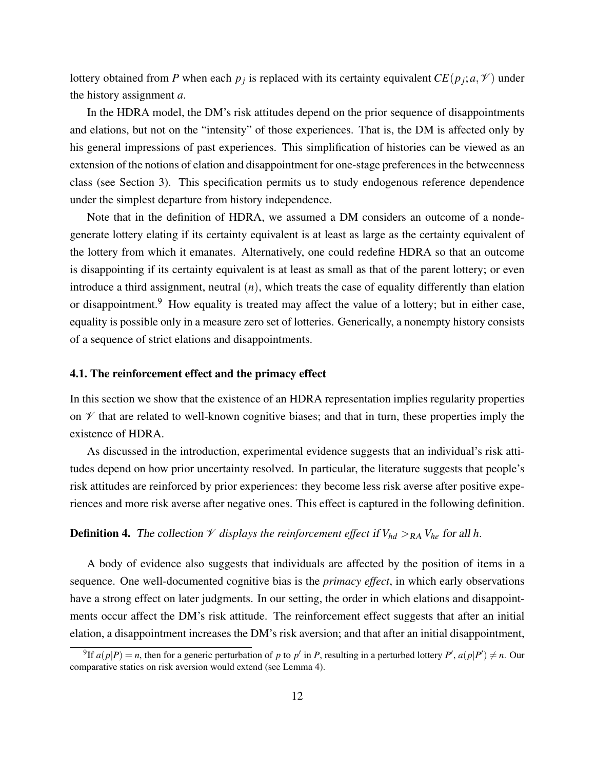lottery obtained from *P* when each  $p_j$  is replaced with its certainty equivalent  $CE(p_j; a, \mathcal{V})$  under the history assignment *a*.

In the HDRA model, the DM's risk attitudes depend on the prior sequence of disappointments and elations, but not on the "intensity" of those experiences. That is, the DM is affected only by his general impressions of past experiences. This simplification of histories can be viewed as an extension of the notions of elation and disappointment for one-stage preferences in the betweenness class (see Section 3). This specification permits us to study endogenous reference dependence under the simplest departure from history independence.

Note that in the definition of HDRA, we assumed a DM considers an outcome of a nondegenerate lottery elating if its certainty equivalent is at least as large as the certainty equivalent of the lottery from which it emanates. Alternatively, one could redefine HDRA so that an outcome is disappointing if its certainty equivalent is at least as small as that of the parent lottery; or even introduce a third assignment, neutral (*n*), which treats the case of equality differently than elation or disappointment.<sup>9</sup> How equality is treated may affect the value of a lottery; but in either case, equality is possible only in a measure zero set of lotteries. Generically, a nonempty history consists of a sequence of strict elations and disappointments.

#### 4.1. The reinforcement effect and the primacy effect

In this section we show that the existence of an HDRA representation implies regularity properties on  $\mathcal V$  that are related to well-known cognitive biases; and that in turn, these properties imply the existence of HDRA.

As discussed in the introduction, experimental evidence suggests that an individual's risk attitudes depend on how prior uncertainty resolved. In particular, the literature suggests that people's risk attitudes are reinforced by prior experiences: they become less risk averse after positive experiences and more risk averse after negative ones. This effect is captured in the following definition.

#### **Definition 4.** The collection  $\mathcal V$  displays the reinforcement effect if  $V_{hd} >_{RA} V_{he}$  for all h.

A body of evidence also suggests that individuals are affected by the position of items in a sequence. One well-documented cognitive bias is the *primacy effect*, in which early observations have a strong effect on later judgments. In our setting, the order in which elations and disappointments occur affect the DM's risk attitude. The reinforcement effect suggests that after an initial elation, a disappointment increases the DM's risk aversion; and that after an initial disappointment,

<sup>&</sup>lt;sup>9</sup>If  $a(p|P) = n$ , then for a generic perturbation of p to p' in P, resulting in a perturbed lottery P',  $a(p|P') \neq n$ . Our comparative statics on risk aversion would extend (see Lemma 4).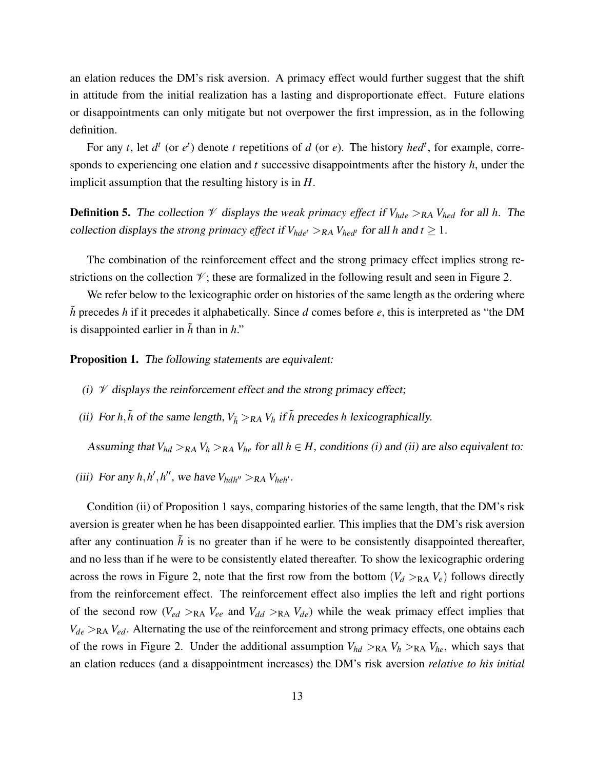an elation reduces the DM's risk aversion. A primacy effect would further suggest that the shift in attitude from the initial realization has a lasting and disproportionate effect. Future elations or disappointments can only mitigate but not overpower the first impression, as in the following definition.

For any *t*, let  $d^t$  (or  $e^t$ ) denote *t* repetitions of *d* (or *e*). The history *hed<sup>t</sup>*, for example, corresponds to experiencing one elation and *t* successive disappointments after the history *h*, under the implicit assumption that the resulting history is in *H*.

**Definition 5.** The collection  $\mathcal V$  displays the *weak primacy effect* if  $V_{hde} >_{RA} V_{hed}$  for all *h*. The collection displays the *strong primacy effect* if  $V_{hde}$   $>_{RA}$   $V_{hed}$ <sup>*t*</sup> for all *h* and  $t \ge 1$ .

The combination of the reinforcement effect and the strong primacy effect implies strong restrictions on the collection  $\mathcal{V}$ ; these are formalized in the following result and seen in Figure 2.

We refer below to the lexicographic order on histories of the same length as the ordering where  $\tilde{h}$  precedes *h* if it precedes it alphabetically. Since *d* comes before *e*, this is interpreted as "the DM is disappointed earlier in  $\tilde{h}$  than in  $h$ ."

Proposition 1. The following statements are equivalent:

- (i)  $\mathcal V$  displays the reinforcement effect and the strong primacy effect;
- (ii) For *h*, $\tilde{h}$  of the same length,  $V_{\tilde{h}} >_{RA} V_h$  if  $\tilde{h}$  precedes *h* lexicographically.

Assuming that  $V_{hd} >_{RA} V_h >_{RA} V_{he}$  for all  $h \in H$ , conditions (i) and (ii) are also equivalent to:

(iii) For any  $h, h', h''$ , we have  $V_{hdh''} >_{RA} V_{helh'}$ .

Condition (ii) of Proposition 1 says, comparing histories of the same length, that the DM's risk aversion is greater when he has been disappointed earlier. This implies that the DM's risk aversion after any continuation  $\tilde{h}$  is no greater than if he were to be consistently disappointed thereafter, and no less than if he were to be consistently elated thereafter. To show the lexicographic ordering across the rows in Figure 2, note that the first row from the bottom  $(V_d >_{RA} V_e)$  follows directly from the reinforcement effect. The reinforcement effect also implies the left and right portions of the second row  $(V_{ed} >_{RA} V_{ee}$  and  $V_{dd} >_{RA} V_{de})$  while the weak primacy effect implies that  $V_{de}$  >RA  $V_{ed}$ . Alternating the use of the reinforcement and strong primacy effects, one obtains each of the rows in Figure 2. Under the additional assumption  $V_{hd} >_{RA} V_h >_{RA} V_{he}$ , which says that an elation reduces (and a disappointment increases) the DM's risk aversion *relative to his initial*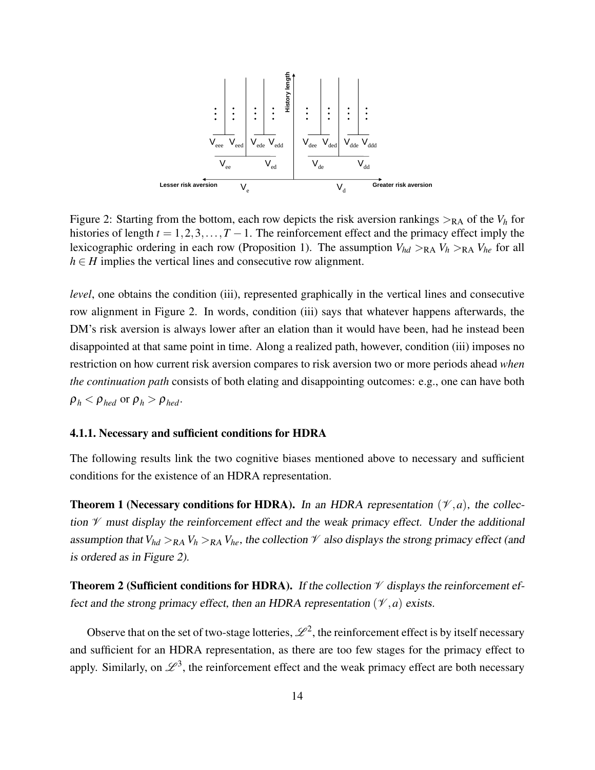

Figure 2: Starting from the bottom, each row depicts the risk aversion rankings  $>_{RA}$  of the  $V_h$  for histories of length  $t = 1, 2, 3, \ldots, T - 1$ . The reinforcement effect and the primacy effect imply the lexicographic ordering in each row (Proposition 1). The assumption  $V_{hd} >_{RA} V_h >_{RA} V_{he}$  for all  $h \in H$  implies the vertical lines and consecutive row alignment.

*level*, one obtains the condition (iii), represented graphically in the vertical lines and consecutive row alignment in Figure 2. In words, condition (iii) says that whatever happens afterwards, the DM's risk aversion is always lower after an elation than it would have been, had he instead been disappointed at that same point in time. Along a realized path, however, condition (iii) imposes no restriction on how current risk aversion compares to risk aversion two or more periods ahead *when the continuation path* consists of both elating and disappointing outcomes: e.g., one can have both  $\rho_h < \rho_{hed}$  or  $\rho_h > \rho_{hed}$ .

#### 4.1.1. Necessary and sufficient conditions for HDRA

The following results link the two cognitive biases mentioned above to necessary and sufficient conditions for the existence of an HDRA representation.

**Theorem 1 (Necessary conditions for HDRA).** In an HDRA representation  $(\mathcal{V}, a)$ , the collection  $\mathcal V$  must display the reinforcement effect and the weak primacy effect. Under the additional assumption that  $V_{hd} >_{RA} V_h >_{RA} V_{he}$ , the collection  $\mathcal V$  also displays the strong primacy effect (and is ordered as in Figure 2).

**Theorem 2 (Sufficient conditions for HDRA).** If the collection  $\mathcal V$  displays the reinforcement effect and the strong primacy effect, then an HDRA representation  $(\mathcal{V}, a)$  exists.

Observe that on the set of two-stage lotteries,  $\mathscr{L}^2$ , the reinforcement effect is by itself necessary and sufficient for an HDRA representation, as there are too few stages for the primacy effect to apply. Similarly, on  $\mathscr{L}^3$ , the reinforcement effect and the weak primacy effect are both necessary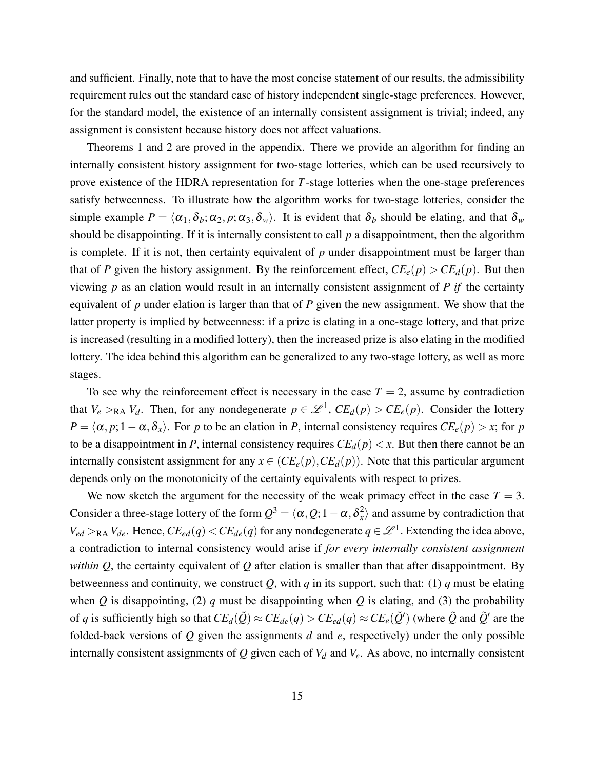and sufficient. Finally, note that to have the most concise statement of our results, the admissibility requirement rules out the standard case of history independent single-stage preferences. However, for the standard model, the existence of an internally consistent assignment is trivial; indeed, any assignment is consistent because history does not affect valuations.

Theorems 1 and 2 are proved in the appendix. There we provide an algorithm for finding an internally consistent history assignment for two-stage lotteries, which can be used recursively to prove existence of the HDRA representation for *T*-stage lotteries when the one-stage preferences satisfy betweenness. To illustrate how the algorithm works for two-stage lotteries, consider the simple example  $P = \langle \alpha_1, \delta_b; \alpha_2, p; \alpha_3, \delta_w \rangle$ . It is evident that  $\delta_b$  should be elating, and that  $\delta_w$ should be disappointing. If it is internally consistent to call *p* a disappointment, then the algorithm is complete. If it is not, then certainty equivalent of *p* under disappointment must be larger than that of *P* given the history assignment. By the reinforcement effect,  $CE_e(p) > CE_d(p)$ . But then viewing *p* as an elation would result in an internally consistent assignment of *P if* the certainty equivalent of *p* under elation is larger than that of *P* given the new assignment. We show that the latter property is implied by betweenness: if a prize is elating in a one-stage lottery, and that prize is increased (resulting in a modified lottery), then the increased prize is also elating in the modified lottery. The idea behind this algorithm can be generalized to any two-stage lottery, as well as more stages.

To see why the reinforcement effect is necessary in the case  $T = 2$ , assume by contradiction that  $V_e >_{RA} V_d$ . Then, for any nondegenerate  $p \in \mathcal{L}^1$ ,  $CE_d(p) > CE_e(p)$ . Consider the lottery  $P = \langle \alpha, p; 1-\alpha, \delta_x \rangle$ . For *p* to be an elation in *P*, internal consistency requires  $CE_e(p) > x$ ; for *p* to be a disappointment in *P*, internal consistency requires  $CE_d(p) < x$ . But then there cannot be an internally consistent assignment for any  $x \in (CE_e(p), CE_d(p))$ . Note that this particular argument depends only on the monotonicity of the certainty equivalents with respect to prizes.

We now sketch the argument for the necessity of the weak primacy effect in the case  $T = 3$ . Consider a three-stage lottery of the form  $Q^3 = \langle \alpha, Q; 1-\alpha, \delta^2_{\alpha} \rangle$  $\langle x \rangle$  and assume by contradiction that  $V_{ed} >_{RA} V_{de}$ . Hence,  $CE_{ed}(q) < CE_{de}(q)$  for any nondegenerate  $q \in \mathcal{L}^1$ . Extending the idea above, a contradiction to internal consistency would arise if *for every internally consistent assignment within Q*, the certainty equivalent of *Q* after elation is smaller than that after disappointment. By betweenness and continuity, we construct  $Q$ , with  $q$  in its support, such that: (1)  $q$  must be elating when *Q* is disappointing, (2) *q* must be disappointing when *Q* is elating, and (3) the probability of *q* is sufficiently high so that  $CE_d(\tilde{Q}) \approx CE_{de}(q) > CE_{ed}(q) \approx CE_e(\tilde{Q}')$  (where  $\tilde{Q}$  and  $\tilde{Q}'$  are the folded-back versions of *Q* given the assignments *d* and *e*, respectively) under the only possible internally consistent assignments of *Q* given each of *V<sup>d</sup>* and *Ve*. As above, no internally consistent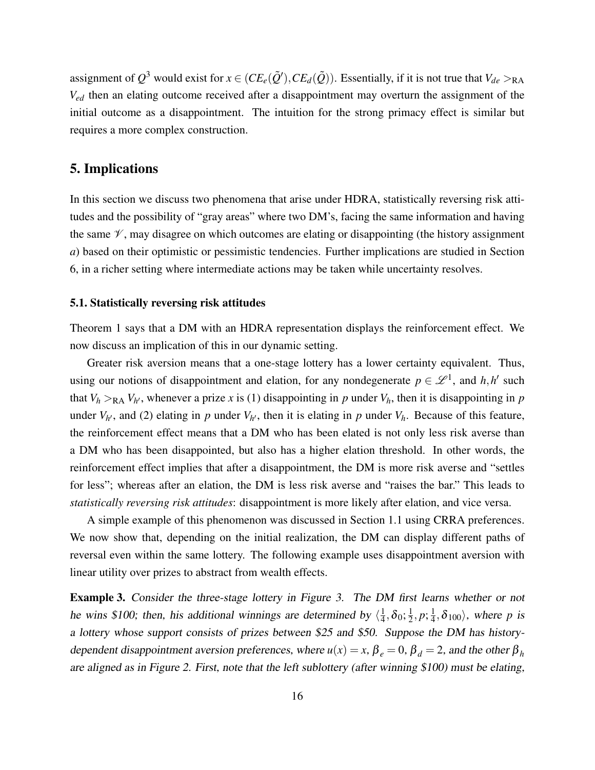assignment of  $Q^3$  would exist for  $x \in (CE_e(\tilde{Q}'), CE_d(\tilde{Q}))$ . Essentially, if it is not true that  $V_{de} >_{\text{RA}}$ *Ved* then an elating outcome received after a disappointment may overturn the assignment of the initial outcome as a disappointment. The intuition for the strong primacy effect is similar but requires a more complex construction.

# 5. Implications

In this section we discuss two phenomena that arise under HDRA, statistically reversing risk attitudes and the possibility of "gray areas" where two DM's, facing the same information and having the same  $\mathscr V$ , may disagree on which outcomes are elating or disappointing (the history assignment *a*) based on their optimistic or pessimistic tendencies. Further implications are studied in Section 6, in a richer setting where intermediate actions may be taken while uncertainty resolves.

#### 5.1. Statistically reversing risk attitudes

Theorem 1 says that a DM with an HDRA representation displays the reinforcement effect. We now discuss an implication of this in our dynamic setting.

Greater risk aversion means that a one-stage lottery has a lower certainty equivalent. Thus, using our notions of disappointment and elation, for any nondegenerate  $p \in \mathcal{L}^1$ , and  $h, h'$  such that  $V_h >_{\text{RA}} V_{h'}$ , whenever a prize *x* is (1) disappointing in *p* under  $V_h$ , then it is disappointing in *p* under  $V_{h}$ , and (2) elating in *p* under  $V_{h}$ , then it is elating in *p* under  $V_h$ . Because of this feature, the reinforcement effect means that a DM who has been elated is not only less risk averse than a DM who has been disappointed, but also has a higher elation threshold. In other words, the reinforcement effect implies that after a disappointment, the DM is more risk averse and "settles for less"; whereas after an elation, the DM is less risk averse and "raises the bar." This leads to *statistically reversing risk attitudes*: disappointment is more likely after elation, and vice versa.

A simple example of this phenomenon was discussed in Section 1.1 using CRRA preferences. We now show that, depending on the initial realization, the DM can display different paths of reversal even within the same lottery. The following example uses disappointment aversion with linear utility over prizes to abstract from wealth effects.

Example 3. Consider the three-stage lottery in Figure 3. The DM first learns whether or not he wins \$100; then, his additional winnings are determined by  $\langle \frac{1}{4} \rangle$  $\frac{1}{4}$ ,  $\delta_0$ ;  $\frac{1}{2}$  $\frac{1}{2}, p; \frac{1}{4}$  $\frac{1}{4}$ ,  $\delta_{100}$ , where *p* is a lottery whose support consists of prizes between \$25 and \$50. Suppose the DM has historydependent disappointment aversion preferences, where  $u(x) = x$ ,  $\beta_e = 0$ ,  $\beta_d = 2$ , and the other  $\beta_h$ are aligned as in Figure 2. First, note that the left sublottery (after winning \$100) must be elating,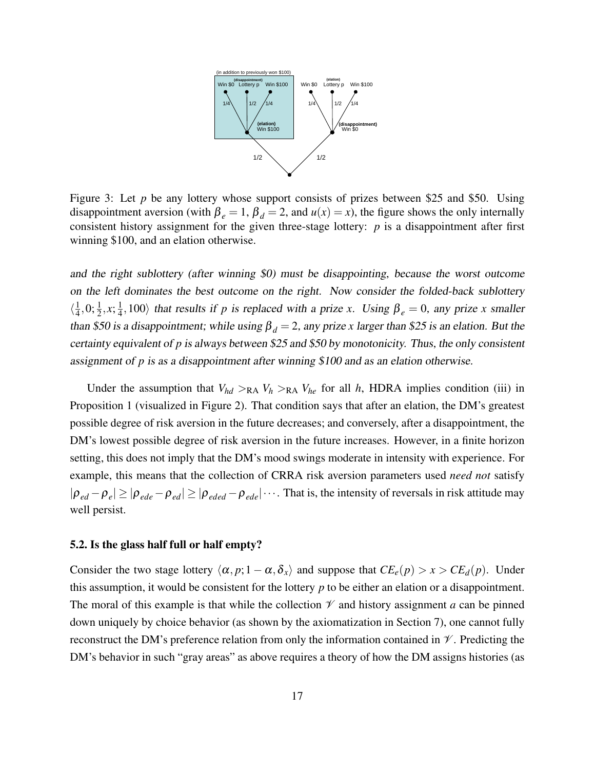

Figure 3: Let *p* be any lottery whose support consists of prizes between \$25 and \$50. Using disappointment aversion (with  $\beta_e = 1$ ,  $\beta_d = 2$ , and  $u(x) = x$ ), the figure shows the only internally consistent history assignment for the given three-stage lottery: *p* is a disappointment after first winning \$100, and an elation otherwise.

and the right sublottery (after winning \$0) must be disappointing, because the worst outcome on the left dominates the best outcome on the right. Now consider the folded-back sublottery  $\langle \frac{1}{4}$  $\frac{1}{4}$ , 0;  $\frac{1}{2}$ , x;  $\frac{1}{4}$  $\frac{1}{4}$ , 100) that results if *p* is replaced with a prize *x*. Using  $\beta_e = 0$ , any prize *x* smaller than \$50 is a disappointment; while using  $\beta_d = 2$ , any prize *x* larger than \$25 is an elation. But the certainty equivalent of *p* is always between \$25 and \$50 by monotonicity. Thus, the only consistent assignment of *p* is as a disappointment after winning \$100 and as an elation otherwise.

Under the assumption that  $V_{hd} >_{RA} V_h >_{RA} V_{he}$  for all *h*, HDRA implies condition (iii) in Proposition 1 (visualized in Figure 2). That condition says that after an elation, the DM's greatest possible degree of risk aversion in the future decreases; and conversely, after a disappointment, the DM's lowest possible degree of risk aversion in the future increases. However, in a finite horizon setting, this does not imply that the DM's mood swings moderate in intensity with experience. For example, this means that the collection of CRRA risk aversion parameters used *need not* satisfy  $|\rho_{ed} - \rho_e| \ge |\rho_{ede} - \rho_{ed}| \ge |\rho_{eded} - \rho_{ede}| \cdots$ . That is, the intensity of reversals in risk attitude may well persist.

#### 5.2. Is the glass half full or half empty?

Consider the two stage lottery  $\langle \alpha, p; 1 - \alpha, \delta_x \rangle$  and suppose that  $CE_e(p) > x > CE_d(p)$ . Under this assumption, it would be consistent for the lottery *p* to be either an elation or a disappointment. The moral of this example is that while the collection  $\mathcal V$  and history assignment *a* can be pinned down uniquely by choice behavior (as shown by the axiomatization in Section 7), one cannot fully reconstruct the DM's preference relation from only the information contained in  $\mathcal V$ . Predicting the DM's behavior in such "gray areas" as above requires a theory of how the DM assigns histories (as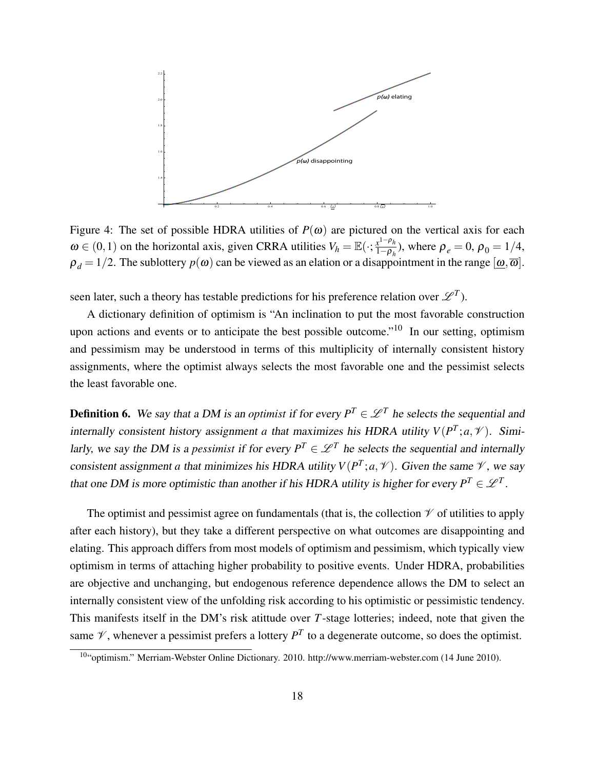

Figure 4: The set of possible HDRA utilities of  $P(\omega)$  are pictured on the vertical axis for each  $\omega \in (0,1)$  on the horizontal axis, given CRRA utilities  $V_h = \mathbb{E}(\cdot; \frac{x^{1-\rho_h}}{1-\rho_h})$  $\frac{x^1 - \rho_h}{1 - \rho_h}$ , where  $\rho_e = 0$ ,  $\rho_0 = 1/4$ ,  $\rho_d = 1/2$ . The sublottery  $p(\omega)$  can be viewed as an elation or a disappointment in the range  $[\omega, \overline{\omega}]$ .

seen later, such a theory has testable predictions for his preference relation over  $\mathscr{L}^T$ ).

A dictionary definition of optimism is "An inclination to put the most favorable construction upon actions and events or to anticipate the best possible outcome."<sup>10</sup> In our setting, optimism and pessimism may be understood in terms of this multiplicity of internally consistent history assignments, where the optimist always selects the most favorable one and the pessimist selects the least favorable one.

**Definition 6.** We say that a DM is an *optimist* if for every  $P^T \in \mathcal{L}^T$  he selects the sequential and internally consistent history assignment *a* that maximizes his HDRA utility  $V(P^T; a, \mathcal{V})$ . Similarly, we say the DM is a *pessimist* if for every  $P^T \in \mathcal{L}^T$  he selects the sequential and internally consistent assignment *a* that minimizes his HDRA utility  $V(P^T; a, \mathcal{V})$ . Given the same  $\mathcal{V}$ , we say that one DM is more optimistic than another if his HDRA utility is higher for every  $P^T \in \mathcal{L}^T$ .

The optimist and pessimist agree on fundamentals (that is, the collection  $\mathcal V$  of utilities to apply after each history), but they take a different perspective on what outcomes are disappointing and elating. This approach differs from most models of optimism and pessimism, which typically view optimism in terms of attaching higher probability to positive events. Under HDRA, probabilities are objective and unchanging, but endogenous reference dependence allows the DM to select an internally consistent view of the unfolding risk according to his optimistic or pessimistic tendency. This manifests itself in the DM's risk atittude over *T*-stage lotteries; indeed, note that given the same  $\mathcal V$ , whenever a pessimist prefers a lottery  $P^T$  to a degenerate outcome, so does the optimist.

<sup>10</sup>"optimism." Merriam-Webster Online Dictionary. 2010. http://www.merriam-webster.com (14 June 2010).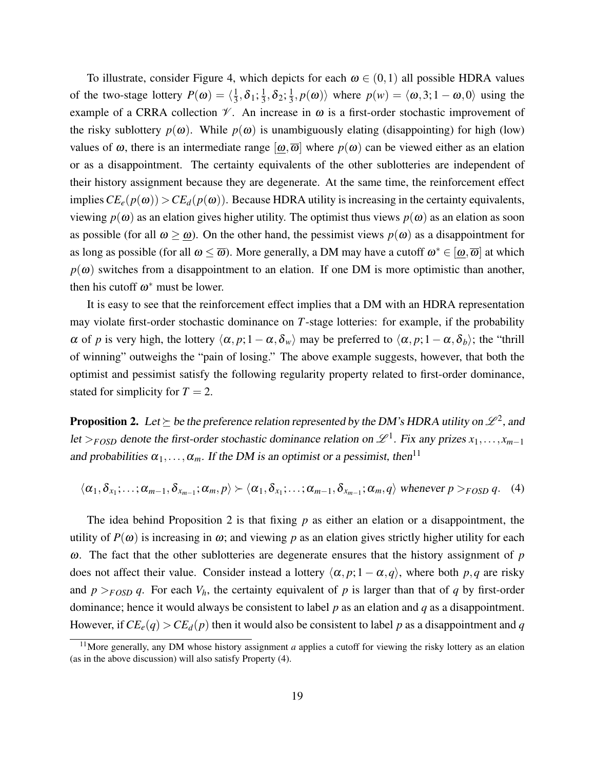To illustrate, consider Figure 4, which depicts for each  $\omega \in (0,1)$  all possible HDRA values of the two-stage lottery  $P(\omega) = \langle \frac{1}{3} \rangle$  $\frac{1}{3}, \delta_1; \frac{1}{3}$  $\frac{1}{3}, \delta_2; \frac{1}{3}$  $\langle \frac{1}{3}, p(\boldsymbol{\omega}) \rangle$  where  $p(w) = \langle \boldsymbol{\omega}, 3; 1 - \boldsymbol{\omega}, 0 \rangle$  using the example of a CRRA collection  $\mathcal V$ . An increase in  $\omega$  is a first-order stochastic improvement of the risky sublottery  $p(\omega)$ . While  $p(\omega)$  is unambiguously elating (disappointing) for high (low) values of  $\omega$ , there is an intermediate range  $[\omega,\overline{\omega}]$  where  $p(\omega)$  can be viewed either as an elation or as a disappointment. The certainty equivalents of the other sublotteries are independent of their history assignment because they are degenerate. At the same time, the reinforcement effect implies  $CE_e(p(\omega)) > CE_d(p(\omega))$ . Because HDRA utility is increasing in the certainty equivalents, viewing  $p(\omega)$  as an elation gives higher utility. The optimist thus views  $p(\omega)$  as an elation as soon as possible (for all  $\omega \geq \omega$ ). On the other hand, the pessimist views  $p(\omega)$  as a disappointment for as long as possible (for all  $\omega \leq \overline{\omega}$ ). More generally, a DM may have a cutoff  $\omega^* \in [\omega, \overline{\omega}]$  at which  $p(\omega)$  switches from a disappointment to an elation. If one DM is more optimistic than another, then his cutoff  $\omega^*$  must be lower.

It is easy to see that the reinforcement effect implies that a DM with an HDRA representation may violate first-order stochastic dominance on *T*-stage lotteries: for example, if the probability  $\alpha$  of *p* is very high, the lottery  $\langle \alpha, p; 1 - \alpha, \delta_w \rangle$  may be preferred to  $\langle \alpha, p; 1 - \alpha, \delta_b \rangle$ ; the "thrill" of winning" outweighs the "pain of losing." The above example suggests, however, that both the optimist and pessimist satisfy the following regularity property related to first-order dominance, stated for simplicity for  $T = 2$ .

**Proposition 2.** Let  $\succeq$  be the preference relation represented by the DM's HDRA utility on  $\mathscr{L}^2$ , and let >*F*<sub>OSD</sub> denote the first-order stochastic dominance relation on  $\mathcal{L}^1$ . Fix any prizes  $x_1, \ldots, x_{m-1}$ and probabilities  $\alpha_1, \ldots, \alpha_m$ . If the DM is an optimist or a pessimist, then<sup>11</sup>

$$
\langle \alpha_1, \delta_{x_1}; \ldots; \alpha_{m-1}, \delta_{x_{m-1}}; \alpha_m, p \rangle \succ \langle \alpha_1, \delta_{x_1}; \ldots; \alpha_{m-1}, \delta_{x_{m-1}}; \alpha_m, q \rangle \text{ whenever } p >_{FOSD} q. \quad (4)
$$

The idea behind Proposition 2 is that fixing *p* as either an elation or a disappointment, the utility of  $P(\omega)$  is increasing in  $\omega$ ; and viewing p as an elation gives strictly higher utility for each ω. The fact that the other sublotteries are degenerate ensures that the history assignment of *p* does not affect their value. Consider instead a lottery  $\langle \alpha, p; 1 - \alpha, q \rangle$ , where both *p*,*q* are risky and  $p >_{FOSD} q$ . For each  $V_h$ , the certainty equivalent of *p* is larger than that of *q* by first-order dominance; hence it would always be consistent to label *p* as an elation and *q* as a disappointment. However, if  $CE_e(q) > CE_d(p)$  then it would also be consistent to label p as a disappointment and q

<sup>&</sup>lt;sup>11</sup>More generally, any DM whose history assignment *a* applies a cutoff for viewing the risky lottery as an elation (as in the above discussion) will also satisfy Property (4).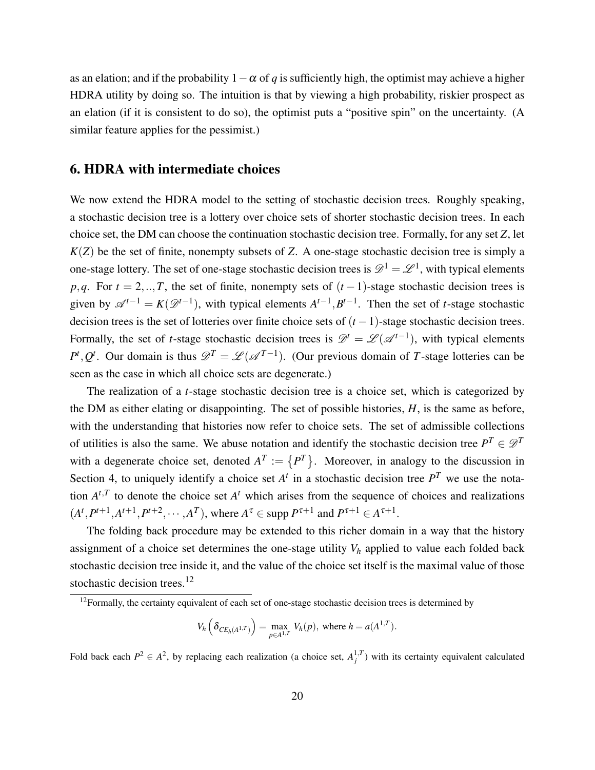as an elation; and if the probability  $1-\alpha$  of *q* is sufficiently high, the optimist may achieve a higher HDRA utility by doing so. The intuition is that by viewing a high probability, riskier prospect as an elation (if it is consistent to do so), the optimist puts a "positive spin" on the uncertainty. (A similar feature applies for the pessimist.)

## 6. HDRA with intermediate choices

We now extend the HDRA model to the setting of stochastic decision trees. Roughly speaking, a stochastic decision tree is a lottery over choice sets of shorter stochastic decision trees. In each choice set, the DM can choose the continuation stochastic decision tree. Formally, for any set *Z*, let *K*(*Z*) be the set of finite, nonempty subsets of *Z*. A one-stage stochastic decision tree is simply a one-stage lottery. The set of one-stage stochastic decision trees is  $\mathscr{D}^1 = \mathscr{L}^1$ , with typical elements *p*,*q*. For  $t = 2, \ldots, T$ , the set of finite, nonempty sets of  $(t-1)$ -stage stochastic decision trees is given by  $\mathscr{A}^{t-1} = K(\mathscr{D}^{t-1})$ , with typical elements  $A^{t-1}, B^{t-1}$ . Then the set of *t*-stage stochastic decision trees is the set of lotteries over finite choice sets of (*t* −1)-stage stochastic decision trees. Formally, the set of *t*-stage stochastic decision trees is  $\mathscr{D}^t = \mathscr{L}(\mathscr{A}^{t-1})$ , with typical elements  $P^t, Q^t$ . Our domain is thus  $\mathscr{D}^T = \mathscr{L}(\mathscr{A}^{T-1})$ . (Our previous domain of *T*-stage lotteries can be seen as the case in which all choice sets are degenerate.)

The realization of a *t*-stage stochastic decision tree is a choice set, which is categorized by the DM as either elating or disappointing. The set of possible histories, *H*, is the same as before, with the understanding that histories now refer to choice sets. The set of admissible collections of utilities is also the same. We abuse notation and identify the stochastic decision tree  $P^T \in \mathcal{D}^T$ with a degenerate choice set, denoted  $A<sup>T</sup> := {P<sup>T</sup>}$ . Moreover, in analogy to the discussion in Section 4, to uniquely identify a choice set  $A<sup>t</sup>$  in a stochastic decision tree  $P<sup>T</sup>$  we use the notation  $A^{t,T}$  to denote the choice set  $A^t$  which arises from the sequence of choices and realizations  $(A^t, P^{t+1}, A^{t+1}, P^{t+2}, \cdots, A^T)$ , where  $A^{\tau} \in \text{supp } P^{\tau+1}$  and  $P^{\tau+1} \in A^{\tau+1}$ .

The folding back procedure may be extended to this richer domain in a way that the history assignment of a choice set determines the one-stage utility  $V_h$  applied to value each folded back stochastic decision tree inside it, and the value of the choice set itself is the maximal value of those stochastic decision trees.<sup>12</sup>

$$
V_h\left(\delta_{CE_h(A^{1,T})}\right) = \max_{p \in A^{1,T}} V_h(p), \text{ where } h = a(A^{1,T}).
$$

Fold back each  $P^2 \in A^2$ , by replacing each realization (a choice set,  $A_j^{1,T}$ ) with its certainty equivalent calculated

 $12$  Formally, the certainty equivalent of each set of one-stage stochastic decision trees is determined by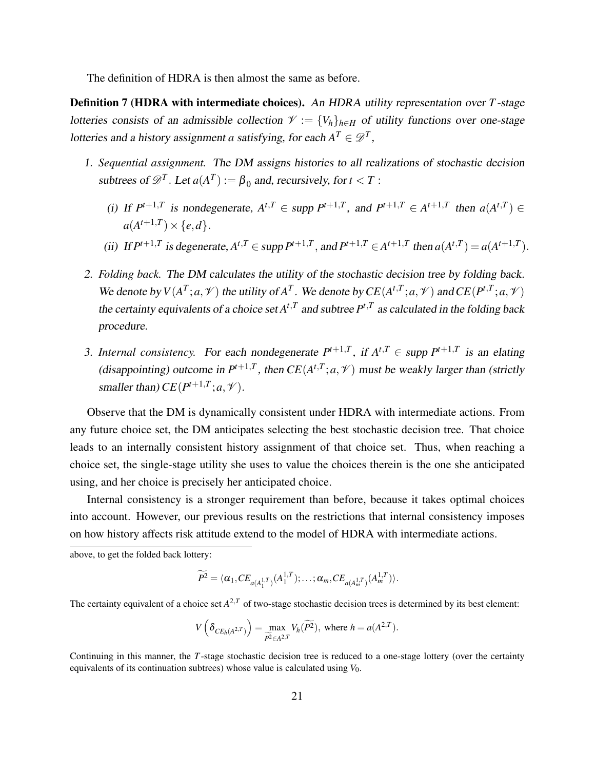The definition of HDRA is then almost the same as before.

Definition 7 (HDRA with intermediate choices). An HDRA utility representation over *T*-stage lotteries consists of an admissible collection  $\mathcal{V} := \{V_h\}_{h \in H}$  of utility functions over one-stage lotteries and a history assignment *a* satisfying, for each  $A^T \in \mathscr{D}^T$ ,

- 1. *Sequential assignment.* The DM assigns histories to all realizations of stochastic decision subtrees of  $\mathscr{D}^T$ . Let  $a(A^T) := \beta_0$  and, recursively, for  $t < T$ :
	- (i) If  $P^{t+1,T}$  is nondegenerate,  $A^{t,T} \in \text{supp } P^{t+1,T}$ , and  $P^{t+1,T} \in A^{t+1,T}$  then  $a(A^{t,T}) \in$  $a(A^{t+1,T}) \times \{e,d\}.$
	- (ii) If  $P^{t+1,T}$  is degenerate,  $A^{t,T} \in \text{supp } P^{t+1,T}$ , and  $P^{t+1,T} \in A^{t+1,T}$  then  $a(A^{t,T}) = a(A^{t+1,T})$ .
- 2. *Folding back.* The DM calculates the utility of the stochastic decision tree by folding back. We denote by  $V(A^T; a, \mathcal{V})$  the utility of  $A^T$ . We denote by  $CE(A^{t,T}; a, \mathcal{V})$  and  $CE(P^{t,T}; a, \mathcal{V})$ the certainty equivalents of a choice set  $A^{t,T}$  and subtree  $P^{t,T}$  as calculated in the folding back procedure.
- 3. *Internal consistency.* For each nondegenerate  $P^{t+1,T}$ , if  $A^{t,T} \in \text{supp } P^{t+1,T}$  is an elating (disappointing) outcome in  $P^{t+1,T}$ , then  $CE(A^{t,T}; a, \mathcal{V})$  must be weakly larger than (strictly smaller than)  $CE(P^{t+1,T}; a, \mathcal{V})$ .

Observe that the DM is dynamically consistent under HDRA with intermediate actions. From any future choice set, the DM anticipates selecting the best stochastic decision tree. That choice leads to an internally consistent history assignment of that choice set. Thus, when reaching a choice set, the single-stage utility she uses to value the choices therein is the one she anticipated using, and her choice is precisely her anticipated choice.

Internal consistency is a stronger requirement than before, because it takes optimal choices into account. However, our previous results on the restrictions that internal consistency imposes on how history affects risk attitude extend to the model of HDRA with intermediate actions.

above, to get the folded back lottery:

$$
\widetilde{P^2} = \langle \alpha_1, CE_{a(A_1^{1,T})}(A_1^{1,T}); \ldots; \alpha_m, CE_{a(A_m^{1,T})}(A_m^{1,T}) \rangle.
$$

The certainty equivalent of a choice set  $A^{2,T}$  of two-stage stochastic decision trees is determined by its best element:

$$
V\left(\delta_{CE_h(A^{2,T})}\right) = \max_{\widetilde{P^2} \in A^{2,T}} V_h(\widetilde{P^2}), \text{ where } h = a(A^{2,T}).
$$

Continuing in this manner, the *T*-stage stochastic decision tree is reduced to a one-stage lottery (over the certainty equivalents of its continuation subtrees) whose value is calculated using *V*0.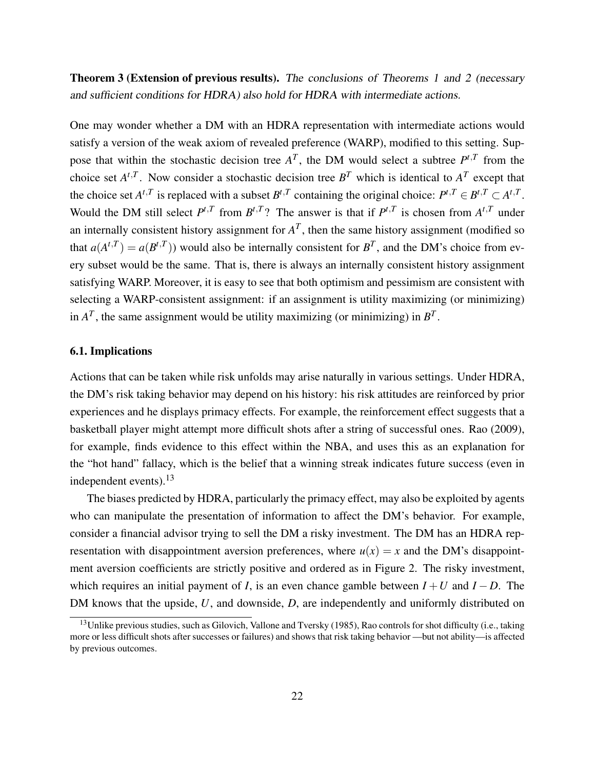Theorem 3 (Extension of previous results). The conclusions of Theorems 1 and 2 (necessary and sufficient conditions for HDRA) also hold for HDRA with intermediate actions.

One may wonder whether a DM with an HDRA representation with intermediate actions would satisfy a version of the weak axiom of revealed preference (WARP), modified to this setting. Suppose that within the stochastic decision tree  $A<sup>T</sup>$ , the DM would select a subtree  $P<sup>t,T</sup>$  from the choice set  $A^{t,T}$ . Now consider a stochastic decision tree  $B^T$  which is identical to  $A^T$  except that the choice set  $A^{t,T}$  is replaced with a subset  $B^{t,T}$  containing the original choice:  $P^{t,T} \in B^{t,T} \subset A^{t,T}$ . Would the DM still select  $P^{t,T}$  from  $B^{t,T}$ ? The answer is that if  $P^{t,T}$  is chosen from  $A^{t,T}$  under an internally consistent history assignment for  $A<sup>T</sup>$ , then the same history assignment (modified so that  $a(A^{t,T}) = a(B^{t,T})$  would also be internally consistent for  $B^T$ , and the DM's choice from every subset would be the same. That is, there is always an internally consistent history assignment satisfying WARP. Moreover, it is easy to see that both optimism and pessimism are consistent with selecting a WARP-consistent assignment: if an assignment is utility maximizing (or minimizing) in  $A<sup>T</sup>$ , the same assignment would be utility maximizing (or minimizing) in  $B<sup>T</sup>$ .

#### 6.1. Implications

Actions that can be taken while risk unfolds may arise naturally in various settings. Under HDRA, the DM's risk taking behavior may depend on his history: his risk attitudes are reinforced by prior experiences and he displays primacy effects. For example, the reinforcement effect suggests that a basketball player might attempt more difficult shots after a string of successful ones. Rao (2009), for example, finds evidence to this effect within the NBA, and uses this as an explanation for the "hot hand" fallacy, which is the belief that a winning streak indicates future success (even in independent events).<sup>13</sup>

The biases predicted by HDRA, particularly the primacy effect, may also be exploited by agents who can manipulate the presentation of information to affect the DM's behavior. For example, consider a financial advisor trying to sell the DM a risky investment. The DM has an HDRA representation with disappointment aversion preferences, where  $u(x) = x$  and the DM's disappointment aversion coefficients are strictly positive and ordered as in Figure 2. The risky investment, which requires an initial payment of *I*, is an even chance gamble between  $I + U$  and  $I - D$ . The DM knows that the upside, *U*, and downside, *D*, are independently and uniformly distributed on

 $13$ Unlike previous studies, such as Gilovich, Vallone and Tversky (1985), Rao controls for shot difficulty (i.e., taking more or less difficult shots after successes or failures) and shows that risk taking behavior —but not ability—is affected by previous outcomes.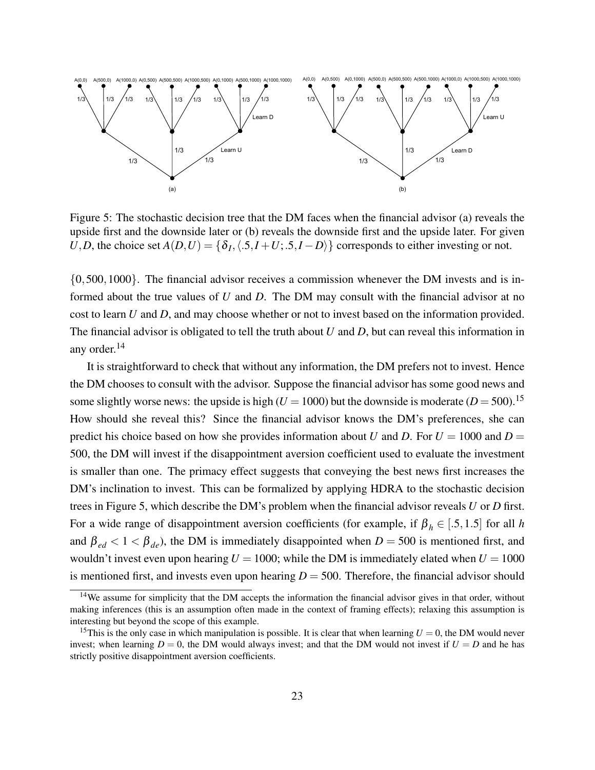

Figure 5: The stochastic decision tree that the DM faces when the financial advisor (a) reveals the upside first and the downside later or (b) reveals the downside first and the upside later. For given *U*,*D*, the choice set  $A(D, U) = \{\delta_I, \langle .5, I + U, .5, I - D \rangle\}$  corresponds to either investing or not.

{0,500,1000}. The financial advisor receives a commission whenever the DM invests and is informed about the true values of *U* and *D*. The DM may consult with the financial advisor at no cost to learn *U* and *D*, and may choose whether or not to invest based on the information provided. The financial advisor is obligated to tell the truth about *U* and *D*, but can reveal this information in any order.<sup>14</sup>

It is straightforward to check that without any information, the DM prefers not to invest. Hence the DM chooses to consult with the advisor. Suppose the financial advisor has some good news and some slightly worse news: the upside is high ( $U = 1000$ ) but the downside is moderate ( $D = 500$ ).<sup>15</sup> How should she reveal this? Since the financial advisor knows the DM's preferences, she can predict his choice based on how she provides information about *U* and *D*. For  $U = 1000$  and  $D =$ 500, the DM will invest if the disappointment aversion coefficient used to evaluate the investment is smaller than one. The primacy effect suggests that conveying the best news first increases the DM's inclination to invest. This can be formalized by applying HDRA to the stochastic decision trees in Figure 5, which describe the DM's problem when the financial advisor reveals *U* or *D* first. For a wide range of disappointment aversion coefficients (for example, if  $\beta_h \in [.5,1.5]$  for all *h* and  $\beta_{ed} < 1 < \beta_{de}$ ), the DM is immediately disappointed when  $D = 500$  is mentioned first, and wouldn't invest even upon hearing  $U = 1000$ ; while the DM is immediately elated when  $U = 1000$ is mentioned first, and invests even upon hearing  $D = 500$ . Therefore, the financial advisor should

<sup>&</sup>lt;sup>14</sup>We assume for simplicity that the DM accepts the information the financial advisor gives in that order, without making inferences (this is an assumption often made in the context of framing effects); relaxing this assumption is interesting but beyond the scope of this example.

<sup>&</sup>lt;sup>15</sup>This is the only case in which manipulation is possible. It is clear that when learning  $U = 0$ , the DM would never invest; when learning  $D = 0$ , the DM would always invest; and that the DM would not invest if  $U = D$  and he has strictly positive disappointment aversion coefficients.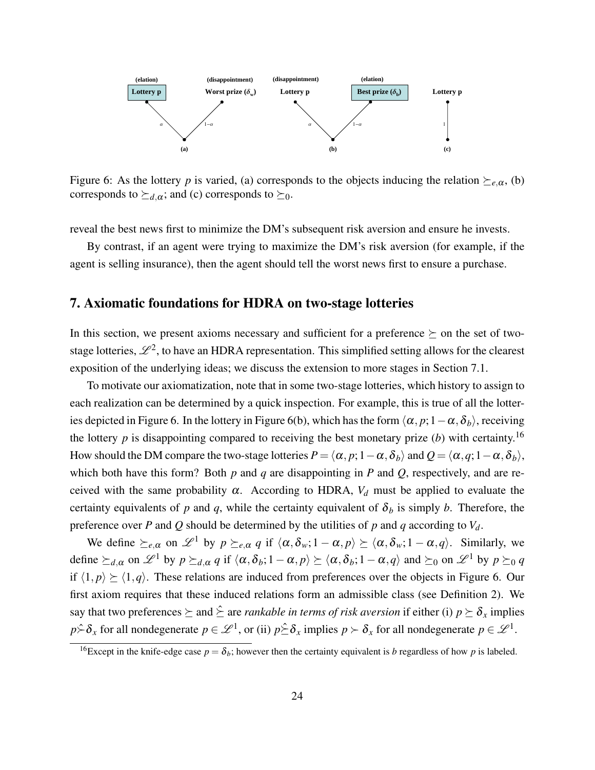

Figure 6: As the lottery *p* is varied, (a) corresponds to the objects inducing the relation  $\succeq_{e,\alpha}$ , (b) corresponds to  $\succeq_{d,\alpha}$ ; and (c) corresponds to  $\succeq_0$ .

reveal the best news first to minimize the DM's subsequent risk aversion and ensure he invests.

By contrast, if an agent were trying to maximize the DM's risk aversion (for example, if the agent is selling insurance), then the agent should tell the worst news first to ensure a purchase.

# 7. Axiomatic foundations for HDRA on two-stage lotteries

In this section, we present axioms necessary and sufficient for a preference  $\succeq$  on the set of twostage lotteries,  $\mathscr{L}^2$ , to have an HDRA representation. This simplified setting allows for the clearest exposition of the underlying ideas; we discuss the extension to more stages in Section 7.1.

To motivate our axiomatization, note that in some two-stage lotteries, which history to assign to each realization can be determined by a quick inspection. For example, this is true of all the lotteries depicted in Figure 6. In the lottery in Figure 6(b), which has the form  $\langle \alpha, p; 1-\alpha, \delta_b \rangle$ , receiving the lottery  $p$  is disappointing compared to receiving the best monetary prize (*b*) with certainty.<sup>16</sup> How should the DM compare the two-stage lotteries  $P = \langle \alpha, p; 1-\alpha, \delta_b \rangle$  and  $Q = \langle \alpha, q; 1-\alpha, \delta_b \rangle$ , which both have this form? Both *p* and *q* are disappointing in *P* and *Q*, respectively, and are received with the same probability  $\alpha$ . According to HDRA,  $V_d$  must be applied to evaluate the certainty equivalents of *p* and *q*, while the certainty equivalent of  $\delta_b$  is simply *b*. Therefore, the preference over *P* and *Q* should be determined by the utilities of *p* and *q* according to  $V_d$ .

We define  $\succeq_{e,\alpha}$  on  $\mathscr{L}^1$  by  $p\succeq_{e,\alpha} q$  if  $\langle \alpha,\delta_w; 1-\alpha,p \rangle \succeq \langle \alpha,\delta_w; 1-\alpha,q \rangle$ . Similarly, we define  $\succeq_{d,\alpha}$  on  $\mathscr{L}^1$  by  $p \succeq_{d,\alpha} q$  if  $\langle \alpha, \delta_b; 1 - \alpha, p \rangle \succeq \langle \alpha, \delta_b; 1 - \alpha, q \rangle$  and  $\succeq_0$  on  $\mathscr{L}^1$  by  $p \succeq_0 q$ if  $\langle 1, p \rangle \ge \langle 1, q \rangle$ . These relations are induced from preferences over the objects in Figure 6. Our first axiom requires that these induced relations form an admissible class (see Definition 2). We say that two preferences  $\succ$  and  $\hat{\succ}$  are *rankable in terms of risk aversion* if either (i)  $p \succ \delta_x$  implies  $p \hat{\succ} \delta_x$  for all nondegenerate  $p \in \mathcal{L}^1$ , or (ii)  $p \hat{\succ} \delta_x$  implies  $p \succ \delta_x$  for all nondegenerate  $p \in \mathcal{L}^1$ .

<sup>&</sup>lt;sup>16</sup>Except in the knife-edge case  $p = \delta_b$ ; however then the certainty equivalent is *b* regardless of how *p* is labeled.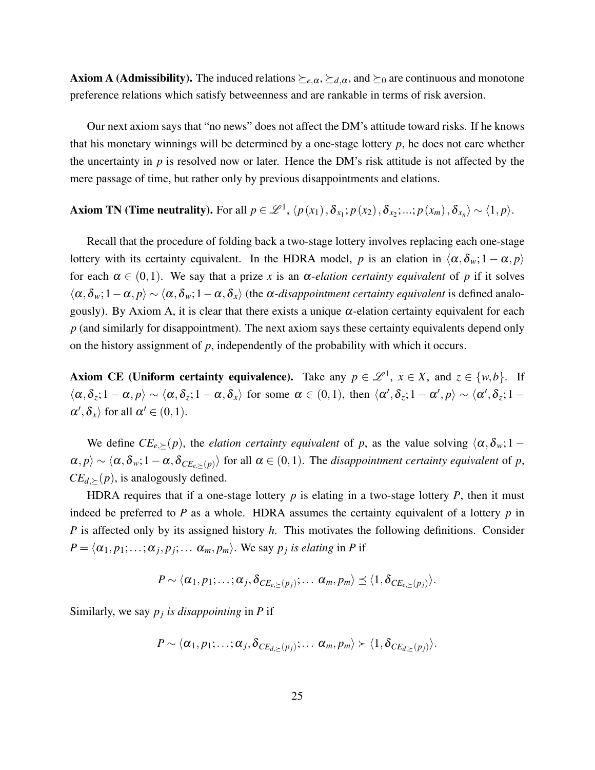**Axiom A (Admissibility).** The induced relations  $\succeq_{e,\alpha}$ ,  $\succeq_{d,\alpha}$ , and  $\succeq_0$  are continuous and monotone preference relations which satisfy betweenness and are rankable in terms of risk aversion.

Our next axiom says that "no news" does not affect the DM's attitude toward risks. If he knows that his monetary winnings will be determined by a one-stage lottery *p*, he does not care whether the uncertainty in *p* is resolved now or later. Hence the DM's risk attitude is not affected by the mere passage of time, but rather only by previous disappointments and elations.

# Axiom TN (Time neutrality). For all  $p \in \mathscr{L}^1$ ,  $\langle p(x_1), \delta_{x_1}; p(x_2), \delta_{x_2}; ...; p(x_m), \delta_{x_n} \rangle \sim \langle 1, p \rangle$ .

Recall that the procedure of folding back a two-stage lottery involves replacing each one-stage lottery with its certainty equivalent. In the HDRA model, *p* is an elation in  $\langle \alpha, \delta_w; 1 - \alpha, p \rangle$ for each  $\alpha \in (0,1)$ . We say that a prize *x* is an  $\alpha$ -*elation certainty equivalent* of *p* if it solves  $\langle \alpha, \delta_w; 1-\alpha, p \rangle \sim \langle \alpha, \delta_w; 1-\alpha, \delta_x \rangle$  (the  $\alpha$ -*disappointment certainty equivalent* is defined analogously). By Axiom A, it is clear that there exists a unique  $\alpha$ -elation certainty equivalent for each *p* (and similarly for disappointment). The next axiom says these certainty equivalents depend only on the history assignment of *p*, independently of the probability with which it occurs.

Axiom CE (Uniform certainty equivalence). Take any  $p \in \mathcal{L}^1$ ,  $x \in X$ , and  $z \in \{w, b\}$ . If  $\langle \alpha, \delta_z; 1 - \alpha, p \rangle \sim \langle \alpha, \delta_z; 1 - \alpha, \delta_x \rangle$  for some  $\alpha \in (0, 1)$ , then  $\langle \alpha', \delta_z; 1 - \alpha', p \rangle \sim \langle \alpha', \delta_z; 1 - \alpha' \rangle$  $\alpha', \delta_x$  for all  $\alpha' \in (0,1)$ .

We define  $CE_{e,\succeq}(p)$ , the *elation certainty equivalent* of *p*, as the value solving  $\langle \alpha, \delta_w; 1 - \delta \rangle$  $\langle \alpha, p \rangle \sim \langle \alpha, \delta_w; 1-\alpha, \delta_{CE_{e,\succeq}(p)} \rangle$  for all  $\alpha \in (0,1)$ . The *disappointment certainty equivalent* of *p*,  $CE$ <sub>*d*, $\succ$ </sub> $(p)$ , is analogously defined.

HDRA requires that if a one-stage lottery  $p$  is elating in a two-stage lottery  $P$ , then it must indeed be preferred to  $P$  as a whole. HDRA assumes the certainty equivalent of a lottery  $p$  in *P* is affected only by its assigned history *h*. This motivates the following definitions. Consider  $P = \langle \alpha_1, p_1; \ldots; \alpha_j, p_j; \ldots \alpha_m, p_m \rangle$ . We say  $p_j$  *is elating* in *P* if

$$
P \sim \langle \alpha_1, p_1; \ldots; \alpha_j, \delta_{CE_{e,\succeq}(p_j)}; \ldots \alpha_m, p_m \rangle \leq \langle 1, \delta_{CE_{e,\succeq}(p_j)} \rangle.
$$

Similarly, we say *p<sup>j</sup> is disappointing* in *P* if

$$
P \sim \langle \alpha_1, p_1; \ldots; \alpha_j, \delta_{CE_{d,\succeq}(p_j)}; \ldots \alpha_m, p_m \rangle \succ \langle 1, \delta_{CE_{d,\succeq}(p_j)} \rangle.
$$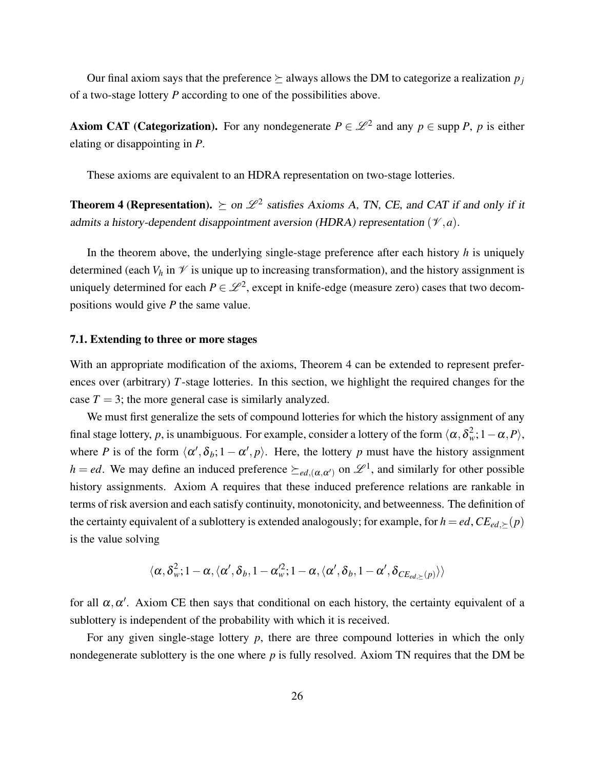Our final axiom says that the preference  $\succeq$  always allows the DM to categorize a realization  $p_j$ of a two-stage lottery *P* according to one of the possibilities above.

Axiom CAT (Categorization). For any nondegenerate  $P \in \mathcal{L}^2$  and any  $p \in \text{supp } P$ , p is either elating or disappointing in *P*.

These axioms are equivalent to an HDRA representation on two-stage lotteries.

**Theorem 4 (Representation).**  $\succeq$  on  $\mathscr{L}^2$  satisfies Axioms A, TN, CE, and CAT if and only if it admits a history-dependent disappointment aversion (HDRA) representation  $(\mathcal{V}, a)$ .

In the theorem above, the underlying single-stage preference after each history *h* is uniquely determined (each  $V_h$  in  $\mathcal V$  is unique up to increasing transformation), and the history assignment is uniquely determined for each  $P \in \mathcal{L}^2$ , except in knife-edge (measure zero) cases that two decompositions would give *P* the same value.

#### 7.1. Extending to three or more stages

With an appropriate modification of the axioms, Theorem 4 can be extended to represent preferences over (arbitrary) *T*-stage lotteries. In this section, we highlight the required changes for the case  $T = 3$ ; the more general case is similarly analyzed.

We must first generalize the sets of compound lotteries for which the history assignment of any final stage lottery, *p*, is unambiguous. For example, consider a lottery of the form  $\langle \alpha, \delta_w^2; 1-\alpha, P \rangle$ , where *P* is of the form  $\langle \alpha', \delta_b; 1 - \alpha', p \rangle$ . Here, the lottery *p* must have the history assignment *h* = *ed*. We may define an induced preference  $\succeq_{ed,(\alpha,\alpha')}$  on  $\mathscr{L}^1$ , and similarly for other possible history assignments. Axiom A requires that these induced preference relations are rankable in terms of risk aversion and each satisfy continuity, monotonicity, and betweenness. The definition of the certainty equivalent of a sublottery is extended analogously; for example, for  $h = ed$ ,  $CE_{ed}$ , $\geq (p)$ is the value solving

$$
\langle \alpha, \delta^2_w; 1-\alpha, \langle \alpha', \delta_b, 1-\alpha'^2_w; 1-\alpha, \langle \alpha', \delta_b, 1-\alpha', \delta_{CE_{ed, \succeq}(p)} \rangle \rangle
$$

for all  $\alpha, \alpha'$ . Axiom CE then says that conditional on each history, the certainty equivalent of a sublottery is independent of the probability with which it is received.

For any given single-stage lottery *p*, there are three compound lotteries in which the only nondegenerate sublottery is the one where *p* is fully resolved. Axiom TN requires that the DM be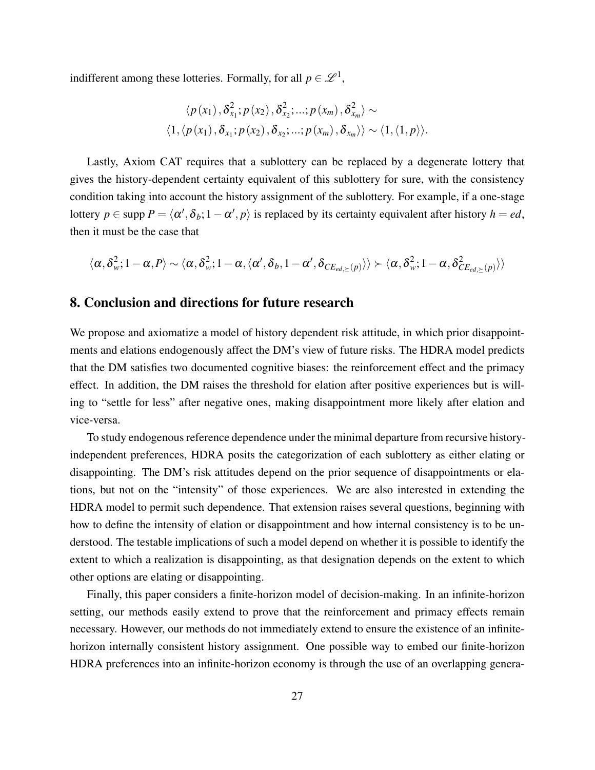indifferent among these lotteries. Formally, for all  $p \in \mathcal{L}^1$ ,

$$
\langle p(x_1), \delta_{x_1}^2; p(x_2), \delta_{x_2}^2; \ldots; p(x_m), \delta_{x_m}^2 \rangle \sim
$$
  

$$
\langle 1, \langle p(x_1), \delta_{x_1}; p(x_2), \delta_{x_2}; \ldots; p(x_m), \delta_{x_m} \rangle \rangle \sim \langle 1, \langle 1, p \rangle \rangle.
$$

Lastly, Axiom CAT requires that a sublottery can be replaced by a degenerate lottery that gives the history-dependent certainty equivalent of this sublottery for sure, with the consistency condition taking into account the history assignment of the sublottery. For example, if a one-stage lottery  $p \in \text{supp } P = \langle \alpha', \delta_b; 1 - \alpha', p \rangle$  is replaced by its certainty equivalent after history  $h = ed$ , then it must be the case that

$$
\langle \alpha, \delta_\textit{w}^2; 1-\alpha, P \rangle \sim \langle \alpha, \delta_\textit{w}^2; 1-\alpha, \langle \alpha', \delta_\textit{b}, 1-\alpha', \delta_{\textit{CE}_{\textit{ed},\succeq}(\textit{p})} \rangle \rangle \succ \langle \alpha, \delta_\textit{w}^2; 1-\alpha, \delta_{\textit{CE}_{\textit{ed},\succeq}(\textit{p})}^2 \rangle \rangle
$$

# 8. Conclusion and directions for future research

We propose and axiomatize a model of history dependent risk attitude, in which prior disappointments and elations endogenously affect the DM's view of future risks. The HDRA model predicts that the DM satisfies two documented cognitive biases: the reinforcement effect and the primacy effect. In addition, the DM raises the threshold for elation after positive experiences but is willing to "settle for less" after negative ones, making disappointment more likely after elation and vice-versa.

To study endogenous reference dependence under the minimal departure from recursive historyindependent preferences, HDRA posits the categorization of each sublottery as either elating or disappointing. The DM's risk attitudes depend on the prior sequence of disappointments or elations, but not on the "intensity" of those experiences. We are also interested in extending the HDRA model to permit such dependence. That extension raises several questions, beginning with how to define the intensity of elation or disappointment and how internal consistency is to be understood. The testable implications of such a model depend on whether it is possible to identify the extent to which a realization is disappointing, as that designation depends on the extent to which other options are elating or disappointing.

Finally, this paper considers a finite-horizon model of decision-making. In an infinite-horizon setting, our methods easily extend to prove that the reinforcement and primacy effects remain necessary. However, our methods do not immediately extend to ensure the existence of an infinitehorizon internally consistent history assignment. One possible way to embed our finite-horizon HDRA preferences into an infinite-horizon economy is through the use of an overlapping genera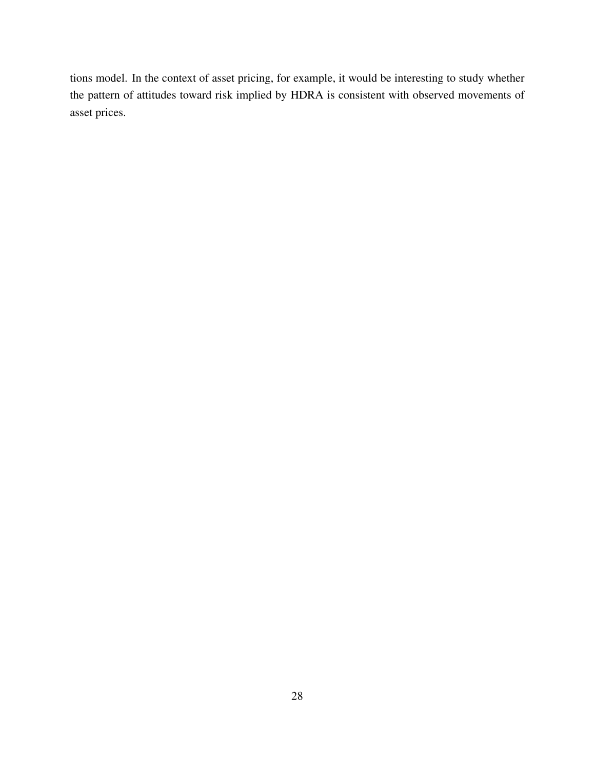tions model. In the context of asset pricing, for example, it would be interesting to study whether the pattern of attitudes toward risk implied by HDRA is consistent with observed movements of asset prices.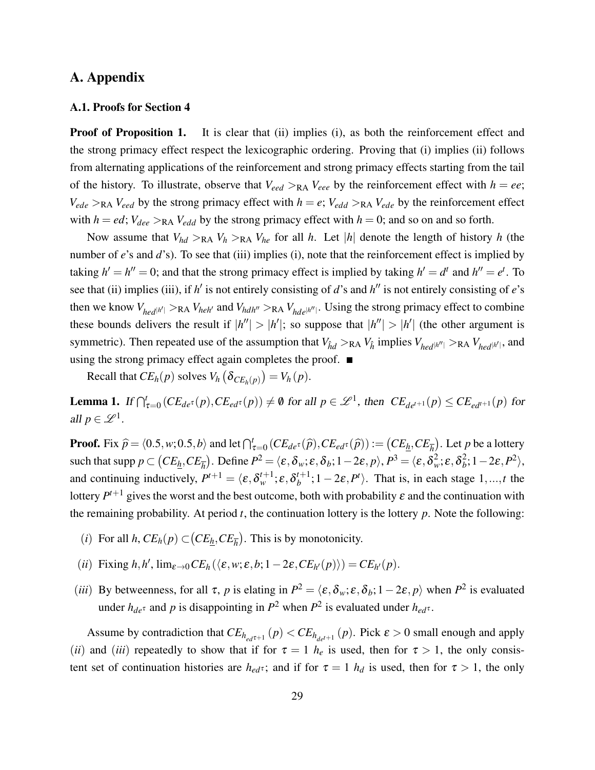# A. Appendix

#### A.1. Proofs for Section 4

**Proof of Proposition 1.** It is clear that (ii) implies (i), as both the reinforcement effect and the strong primacy effect respect the lexicographic ordering. Proving that (i) implies (ii) follows from alternating applications of the reinforcement and strong primacy effects starting from the tail of the history. To illustrate, observe that  $V_{\text{eed}} >_{\text{RA}} V_{\text{eee}}$  by the reinforcement effect with  $h = ee$ ;  $V_{ede} >_{RA} V_{eed}$  by the strong primacy effect with  $h = e$ ;  $V_{edd} >_{RA} V_{ede}$  by the reinforcement effect with  $h = ed$ ;  $V_{dee} >_{RA} V_{edd}$  by the strong primacy effect with  $h = 0$ ; and so on and so forth.

Now assume that  $V_{hd} >_{RA} V_h >_{RA} V_{he}$  for all *h*. Let |*h*| denote the length of history *h* (the number of *e*'s and *d*'s). To see that (iii) implies (i), note that the reinforcement effect is implied by taking  $h' = h'' = 0$ ; and that the strong primacy effect is implied by taking  $h' = d^t$  and  $h'' = e^t$ . To see that (ii) implies (iii), if  $h'$  is not entirely consisting of *d*'s and  $h''$  is not entirely consisting of *e*'s then we know  $V_{hed}$ <sub>*hed*</sub> $|h'| >$ RA  $V_{heh'}$  and  $V_{hd}$ <sup>*h*</sup> $\prime$ </sup> >RA  $V_{hde}$ <sub>*hde*</sub> $|h''|$ . Using the strong primacy effect to combine these bounds delivers the result if  $|h''| > |h'|$ ; so suppose that  $|h''| > |h'|$  (the other argument is symmetric). Then repeated use of the assumption that  $V_{\hat{h}d} >_{RA} V_{\hat{h}}$  implies  $V_{hed|h''|} >_{RA} V_{hed|h'|}$ , and using the strong primacy effect again completes the proof.  $\blacksquare$ 

Recall that  $CE_h(p)$  solves  $V_h(\delta_{CE_h(p)}) = V_h(p)$ .

**Lemma 1.** If  $\bigcap_{\tau=0}^t (CE_{de^{\tau}}(p), CE_{ed^{\tau}}(p)) \neq \emptyset$  for all  $p \in \mathcal{L}^1$ , then  $CE_{de^{t+1}}(p) \leq CE_{ed^{t+1}}(p)$  for all  $p \in \mathscr{L}^1$ .

**Proof.** Fix  $\hat{p} = \langle 0.5, w; 0.5, b \rangle$  and let  $\bigcap_{\tau=0}^{t} (CE_{de^{\tau}}(\hat{p}), CE_{ed^{\tau}}(\hat{p})) := (CE_{\underline{h}}, CE_{\overline{h}})$ . Let *p* be a lottery  $\text{such that } \text{supp } p \subset \big(CE_{\underline{h}}, CE_{\overline{h}}\big). \text{ Define } P^2 = \langle \pmb{\varepsilon}, \pmb{\delta}_w; \pmb{\varepsilon}, \pmb{\delta}_b; 1-2\pmb{\varepsilon}, p \rangle, P^3 = \langle \pmb{\varepsilon}, \pmb{\delta}_w^2; \pmb{\varepsilon}, \pmb{\delta}_b^2 \big).$  $\binom{2}{b}$ ; 1 – 2 $\varepsilon$ ,  $P^2$ ), and continuing inductively,  $P^{t+1} = \langle \varepsilon, \delta_w^{t+1}; \varepsilon, \delta_b^{t+1} \rangle$  $b^{t+1}$ ; 1 – 2 $\varepsilon$ ,  $P^t$ ). That is, in each stage 1, ..., t the lottery  $P^{t+1}$  gives the worst and the best outcome, both with probability  $\varepsilon$  and the continuation with the remaining probability. At period  $t$ , the continuation lottery is the lottery  $p$ . Note the following:

- (*i*) For all *h*,  $CE_h(p) \subset (CE_{\underline{h}}, CE_{\overline{h}})$ . This is by monotonicity.
- $(iii)$  Fixing  $h, h', \lim_{\varepsilon \to 0} CE_h(\langle \varepsilon, w; \varepsilon, b; 1-2\varepsilon, CE_{h'}(p) \rangle) = CE_{h'}(p).$
- (*iii*) By betweenness, for all  $\tau$ , *p* is elating in  $P^2 = \langle \varepsilon, \delta_w; \varepsilon, \delta_b; 1-2\varepsilon, p \rangle$  when  $P^2$  is evaluated under  $h_{de}$ <sup>†</sup> and *p* is disappointing in  $P^2$  when  $P^2$  is evaluated under  $h_{ed}$ <sup>†</sup>.

Assume by contradiction that  $CE_{h_{ed}t+1}(p) < CE_{h_{det}t+1}(p)$ . Pick  $\varepsilon > 0$  small enough and apply (*ii*) and (*iii*) repeatedly to show that if for  $\tau = 1$  *h<sub>e</sub>* is used, then for  $\tau > 1$ , the only consistent set of continuation histories are  $h_{ed}$ <sup>†</sup>; and if for  $\tau = 1$   $h_d$  is used, then for  $\tau > 1$ , the only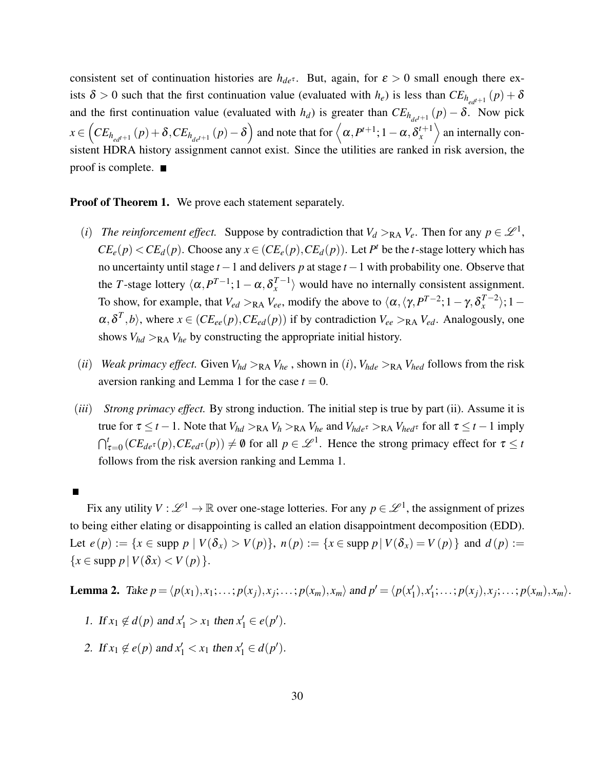consistent set of continuation histories are  $h_{de^{\tau}}$ . But, again, for  $\varepsilon > 0$  small enough there exists  $\delta > 0$  such that the first continuation value (evaluated with  $h_e$ ) is less than  $CE_{h_{ed}t+1}(p) + \delta$ and the first continuation value (evaluated with *h<sub>d</sub>*) is greater than  $CE_{h_{de}t+1}(p) - \delta$ . Now pick  $x \in \left( CE_{h_{ed}t+1}\left(p\right) + \delta, CE_{h_{de}t+1}\left(p\right) - \delta \right)$  and note that for  $\left\langle \alpha, P^{t+1} ; 1-\alpha, \delta^{t+1}_x \right\rangle$  $\binom{t+1}{x}$  an internally consistent HDRA history assignment cannot exist. Since the utilities are ranked in risk aversion, the proof is complete.  $\blacksquare$ 

#### **Proof of Theorem 1.** We prove each statement separately.

- (*i*) *The reinforcement effect.* Suppose by contradiction that  $V_d >_{RA} V_e$ . Then for any  $p \in \mathcal{L}^1$ ,  $CE_e(p) < CE_d(p)$ . Choose any  $x \in (CE_e(p), CE_d(p))$ . Let  $P^t$  be the *t*-stage lottery which has no uncertainty until stage *t* −1 and delivers *p* at stage *t* −1 with probability one. Observe that the *T*-stage lottery  $\langle \alpha, P^{T-1} ; 1 - \alpha, \delta_x^{T-1} \rangle$  $\langle u_x^{I-1} \rangle$  would have no internally consistent assignment. To show, for example, that  $V_{ed} >_{RA} V_{ee}$ , modify the above to  $\langle \alpha, \langle \gamma, P^{T-2} ; 1 - \gamma, \delta_x^{T-2} \rangle$  $\langle x^{-2} \rangle$ ; 1 –  $\alpha, \delta^T, b$ , where  $x \in (CE_{ee}(p), CE_{ed}(p))$  if by contradiction  $V_{ee} >_{RA} V_{ed}$ . Analogously, one shows  $V_{hd} >_{\text{RA}} V_{he}$  by constructing the appropriate initial history.
- (*ii*) *Weak primacy effect.* Given  $V_{hd} >_{RA} V_{he}$ , shown in (*i*),  $V_{hde} >_{RA} V_{hed}$  follows from the risk aversion ranking and Lemma 1 for the case  $t = 0$ .
- (*iii*) *Strong primacy effect.* By strong induction. The initial step is true by part (ii). Assume it is true for  $\tau \le t - 1$ . Note that  $V_{hd} >_{RA} V_h >_{RA} V_{he}$  and  $V_{hde} >_{RA} V_{hed}$  for all  $\tau \le t - 1$  imply  $\bigcap_{\tau=0}^t (CE_{de^\tau}(p), CE_{ed^\tau}(p)) \neq \emptyset$  for all  $p \in \mathcal{L}^1$ . Hence the strong primacy effect for  $\tau \leq t$ follows from the risk aversion ranking and Lemma 1.

Fix any utility  $V: \mathscr{L}^1 \to \mathbb{R}$  over one-stage lotteries. For any  $p \in \mathscr{L}^1$ , the assignment of prizes to being either elating or disappointing is called an elation disappointment decomposition (EDD). Let *e*(*p*) := {*x* ∈ supp *p* | *V*(δ*x*) > *V*(*p*)}, *n*(*p*) := {*x* ∈ supp *p* | *V*(δ*x*) = *V*(*p*)} and *d*(*p*) :=  ${x \in \text{supp } p \mid V(\delta x) < V(p)}.$ 

**Lemma 2.** Take  $p = \langle p(x_1), x_1; \ldots; p(x_j), x_j; \ldots; p(x_m), x_m \rangle$  and  $p' = \langle p(x_1) \rangle$  $'_{1}),x'_{1}$  $\langle$ <sup>1</sup>; ...;  $p(x_j), x_j; \ldots; p(x_m), x_m \rangle$ .

- 1. If  $x_1 \notin d(p)$  and  $x'_1 > x_1$  then  $x'_1 \in e(p')$ .
- 2. If  $x_1 \notin e(p)$  and  $x'_1 < x_1$  then  $x'_1 \in d(p')$ .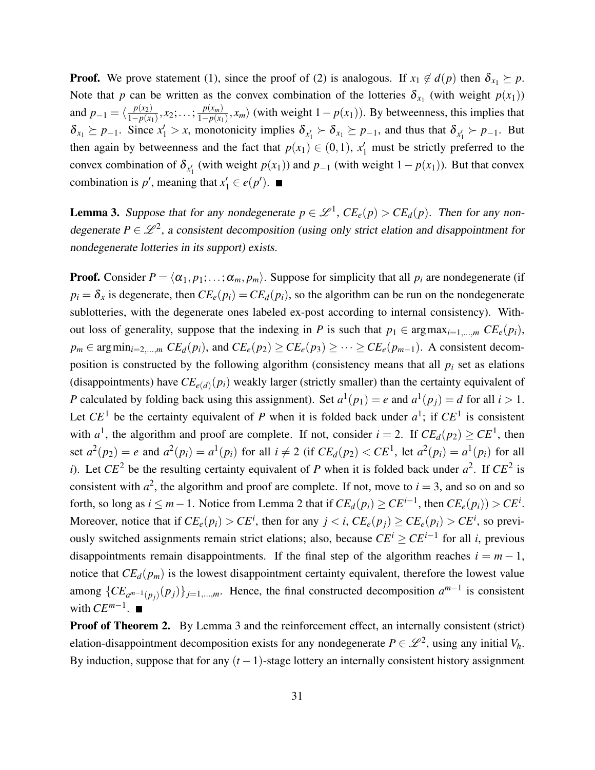**Proof.** We prove statement (1), since the proof of (2) is analogous. If  $x_1 \notin d(p)$  then  $\delta_{x_1} \succeq p$ . Note that *p* can be written as the convex combination of the lotteries  $\delta_{x_1}$  (with weight  $p(x_1)$ ) and  $p_{-1} = \langle \frac{p(x_2)}{1 - p(x_1)} \rangle$  $\frac{p(x_2)}{1-p(x_1)}, x_2; \ldots; \frac{p(x_m)}{1-p(x_1)}$  $\frac{p(x_m)}{1-p(x_1)}$ ,  $x_m$  (with weight  $1-p(x_1)$ ). By betweenness, this implies that  $\delta_{x_1} \succeq p_{-1}$ . Since  $x'_1 > x$ , monotonicity implies  $\delta_{x'_1} \succ \delta_{x_1} \succeq p_{-1}$ , and thus that  $\delta_{x'_1} \succ p_{-1}$ . But then again by betweenness and the fact that  $p(x_1) \in (0,1)$ ,  $x'_1$  must be strictly preferred to the convex combination of  $\delta_{x_1}$  (with weight *p*(*x*<sub>1</sub>)) and *p*−<sub>1</sub> (with weight 1− *p*(*x*<sub>1</sub>)). But that convex combination is  $p'$ , meaning that  $x'_1 \in e(p')$ .

**Lemma 3.** Suppose that for any nondegenerate  $p \in \mathcal{L}^1$ ,  $CE_e(p) > CE_d(p)$ . Then for any nondegenerate  $P \in \mathcal{L}^2$ , a consistent decomposition (using only strict elation and disappointment for nondegenerate lotteries in its support) exists.

**Proof.** Consider  $P = \langle \alpha_1, p_1; \ldots; \alpha_m, p_m \rangle$ . Suppose for simplicity that all  $p_i$  are nondegenerate (if  $p_i = \delta_x$  is degenerate, then  $CE_e(p_i) = CE_d(p_i)$ , so the algorithm can be run on the nondegenerate sublotteries, with the degenerate ones labeled ex-post according to internal consistency). Without loss of generality, suppose that the indexing in *P* is such that  $p_1 \in \arg \max_{i=1,\dots,m} CE_e(p_i)$ ,  $p_m \in \arg \min_{i=2,...,m} CE_d(p_i)$ , and  $CE_e(p_2) \geq CE_e(p_3) \geq \cdots \geq CE_e(p_{m-1})$ . A consistent decomposition is constructed by the following algorithm (consistency means that all  $p_i$  set as elations (disappointments) have  $CE_{e(d)}(p_i)$  weakly larger (strictly smaller) than the certainty equivalent of *P* calculated by folding back using this assignment). Set  $a^1(p_1) = e$  and  $a^1(p_j) = d$  for all  $i > 1$ . Let  $CE<sup>1</sup>$  be the certainty equivalent of *P* when it is folded back under  $a<sup>1</sup>$ ; if  $CE<sup>1</sup>$  is consistent with  $a^1$ , the algorithm and proof are complete. If not, consider  $i = 2$ . If  $CE_d(p_2) \geq CE^1$ , then set  $a^2(p_2) = e$  and  $a^2(p_i) = a^1(p_i)$  for all  $i \neq 2$  (if  $CE_d(p_2) < CE^1$ , let  $a^2(p_i) = a^1(p_i)$  for all *i*). Let  $CE^2$  be the resulting certainty equivalent of *P* when it is folded back under  $a^2$ . If  $CE^2$  is consistent with  $a^2$ , the algorithm and proof are complete. If not, move to  $i = 3$ , and so on and so forth, so long as  $i \leq m-1$ . Notice from Lemma 2 that if  $CE_d(p_i) \geq CE^{i-1}$ , then  $CE_e(p_i)$ ) >  $CE^i$ . Moreover, notice that if  $CE_e(p_i) > CE^i$ , then for any  $j < i$ ,  $CE_e(p_j) \ge CE_e(p_i) > CE^i$ , so previously switched assignments remain strict elations; also, because *CE<sup>i</sup>* ≥ *CEi*−<sup>1</sup> for all *i*, previous disappointments remain disappointments. If the final step of the algorithm reaches  $i = m - 1$ , notice that  $CE_d(p_m)$  is the lowest disappointment certainty equivalent, therefore the lowest value among  ${CE_{a^{m-1}(p_j)}(p_j)}_{j=1,\dots,m}$ . Hence, the final constructed decomposition  $a^{m-1}$  is consistent with  $CE^{m-1}$ .

Proof of Theorem 2. By Lemma 3 and the reinforcement effect, an internally consistent (strict) elation-disappointment decomposition exists for any nondegenerate  $P \in \mathscr{L}^2$ , using any initial  $V_h$ . By induction, suppose that for any  $(t-1)$ -stage lottery an internally consistent history assignment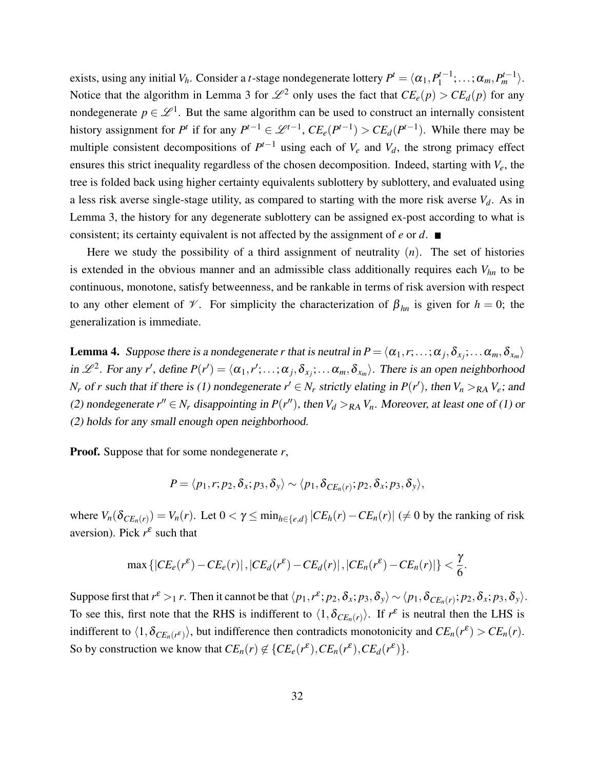exists, using any initial  $V_h$ . Consider a *t*-stage nondegenerate lottery  $P^t = \langle \alpha_1, P_1^{t-1} \rangle$  $\alpha_1^{t-1};\ldots;\alpha_m,P_m^{t-1}\rangle.$ Notice that the algorithm in Lemma 3 for  $\mathscr{L}^2$  only uses the fact that  $CE_e(p) > CE_d(p)$  for any nondegenerate  $p \in \mathcal{L}^1$ . But the same algorithm can be used to construct an internally consistent history assignment for *P*<sup>t</sup> if for any  $P^{t-1} \in \mathcal{L}^{t-1}$ ,  $CE_e(P^{t-1}) > CE_d(P^{t-1})$ . While there may be multiple consistent decompositions of  $P^{t-1}$  using each of  $V_e$  and  $V_d$ , the strong primacy effect ensures this strict inequality regardless of the chosen decomposition. Indeed, starting with *Ve*, the tree is folded back using higher certainty equivalents sublottery by sublottery, and evaluated using a less risk averse single-stage utility, as compared to starting with the more risk averse  $V_d$ . As in Lemma 3, the history for any degenerate sublottery can be assigned ex-post according to what is consistent; its certainty equivalent is not affected by the assignment of *e* or *d*.

Here we study the possibility of a third assignment of neutrality  $(n)$ . The set of histories is extended in the obvious manner and an admissible class additionally requires each *Vhn* to be continuous, monotone, satisfy betweenness, and be rankable in terms of risk aversion with respect to any other element of  $\mathcal V$ . For simplicity the characterization of  $\beta_{hn}$  is given for  $h = 0$ ; the generalization is immediate.

**Lemma 4.** Suppose there is a nondegenerate *r* that is neutral in  $P = \langle \alpha_1, r; \ldots; \alpha_j, \delta_{x_j}; \ldots \alpha_m, \delta_{x_m} \rangle$ in  $\mathscr{L}^2$ . For any *r'*, define  $P(r') = \langle \alpha_1, r'; \dots; \alpha_j, \delta_{x_j}; \dots \alpha_m, \delta_{x_m} \rangle$ . There is an open neighborhood *N<sub>r</sub>* of *r* such that if there is (1) nondegenerate  $r' \in N_r$  strictly elating in  $P(r')$ , then  $V_n >_{RA} V_e$ ; and (2) nondegenerate  $r'' \in N_r$  disappointing in  $P(r'')$ , then  $V_d >_{RA} V_n$ . Moreover, at least one of (1) or (2) holds for any small enough open neighborhood.

Proof. Suppose that for some nondegenerate *r*,

$$
P = \langle p_1, r; p_2, \delta_x; p_3, \delta_y \rangle \sim \langle p_1, \delta_{CE_n(r)}; p_2, \delta_x; p_3, \delta_y \rangle,
$$

where  $V_n(\delta_{CE_n(r)}) = V_n(r)$ . Let  $0 < \gamma \le \min_{h \in \{e,d\}} |CE_h(r) - CE_n(r)| \ne 0$  by the ranking of risk aversion). Pick  $r^{\varepsilon}$  such that

$$
\max\left\{|CE_e(r^{\varepsilon})-CE_e(r)|, |CE_d(r^{\varepsilon})-CE_d(r)|, |CE_n(r^{\varepsilon})-CE_n(r)|\right\}<\frac{\gamma}{6}.
$$

Suppose first that  $r^{\varepsilon} >_1 r$ . Then it cannot be that  $\langle p_1, r^{\varepsilon}; p_2, \delta_x; p_3, \delta_y \rangle \sim \langle p_1, \delta_{CE_n(r)}; p_2, \delta_x; p_3, \delta_y \rangle$ . To see this, first note that the RHS is indifferent to  $\langle 1, \delta_{CE_n(r)} \rangle$ . If  $r^{\varepsilon}$  is neutral then the LHS is indifferent to  $\langle 1, \delta_{CE_n(r^{\varepsilon})} \rangle$ , but indifference then contradicts monotonicity and  $CE_n(r^{\varepsilon}) > CE_n(r)$ . So by construction we know that  $CE_n(r) \notin \{CE_e(r^{\varepsilon}), CE_n(r^{\varepsilon}), CE_d(r^{\varepsilon})\}.$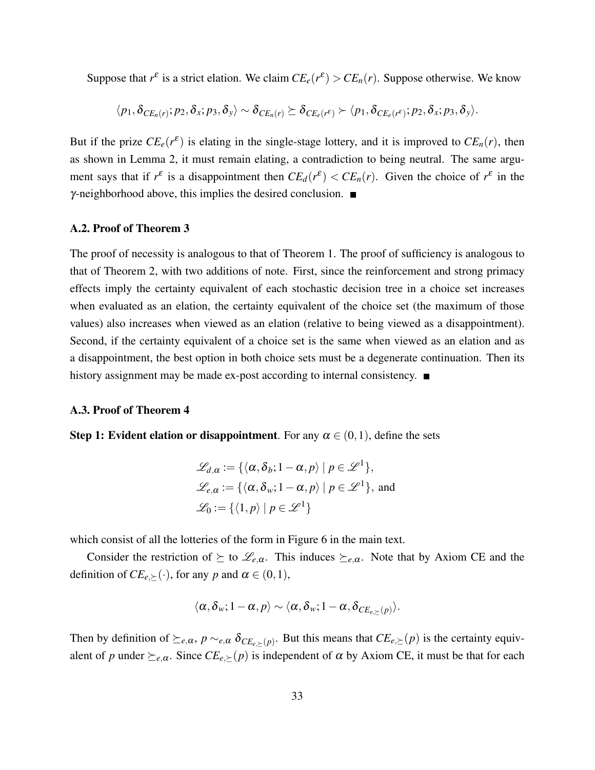Suppose that  $r^{\varepsilon}$  is a strict elation. We claim  $CE_e(r^{\varepsilon}) > CE_n(r)$ . Suppose otherwise. We know

$$
\langle p_1, \delta_{CE_n(r)}; p_2, \delta_x; p_3, \delta_y \rangle \sim \delta_{CE_n(r)} \succeq \delta_{CE_e(r^{\varepsilon})} \succ \langle p_1, \delta_{CE_e(r^{\varepsilon})}; p_2, \delta_x; p_3, \delta_y \rangle.
$$

But if the prize  $CE_e(r^{\varepsilon})$  is elating in the single-stage lottery, and it is improved to  $CE_n(r)$ , then as shown in Lemma 2, it must remain elating, a contradiction to being neutral. The same argument says that if  $r^{\varepsilon}$  is a disappointment then  $CE_d(r^{\varepsilon}) < CE_n(r)$ . Given the choice of  $r^{\varepsilon}$  in the  $\gamma$ -neighborhood above, this implies the desired conclusion.  $\blacksquare$ 

#### A.2. Proof of Theorem 3

The proof of necessity is analogous to that of Theorem 1. The proof of sufficiency is analogous to that of Theorem 2, with two additions of note. First, since the reinforcement and strong primacy effects imply the certainty equivalent of each stochastic decision tree in a choice set increases when evaluated as an elation, the certainty equivalent of the choice set (the maximum of those values) also increases when viewed as an elation (relative to being viewed as a disappointment). Second, if the certainty equivalent of a choice set is the same when viewed as an elation and as a disappointment, the best option in both choice sets must be a degenerate continuation. Then its history assignment may be made ex-post according to internal consistency.  $\blacksquare$ 

#### A.3. Proof of Theorem 4

**Step 1: Evident elation or disappointment**. For any  $\alpha \in (0,1)$ , define the sets

$$
\mathcal{L}_{d,\alpha} := \{ \langle \alpha, \delta_b; 1 - \alpha, p \rangle \mid p \in \mathcal{L}^1 \},
$$
  

$$
\mathcal{L}_{e,\alpha} := \{ \langle \alpha, \delta_w; 1 - \alpha, p \rangle \mid p \in \mathcal{L}^1 \}, \text{ and}
$$
  

$$
\mathcal{L}_0 := \{ \langle 1, p \rangle \mid p \in \mathcal{L}^1 \}
$$

which consist of all the lotteries of the form in Figure 6 in the main text.

Consider the restriction of  $\succeq$  to  $\mathscr{L}_{e,\alpha}$ . This induces  $\succeq_{e,\alpha}$ . Note that by Axiom CE and the definition of  $CE_{e,\succeq}(\cdot)$ , for any *p* and  $\alpha \in (0,1)$ ,

$$
\langle \alpha, \delta_w; 1-\alpha, p \rangle \sim \langle \alpha, \delta_w; 1-\alpha, \delta_{CE_{e, \succeq}(p)} \rangle.
$$

Then by definition of  $\succeq_{e,\alpha}$ ,  $p \sim_{e,\alpha} \delta_{CE_{e,\succeq}(p)}$ . But this means that  $CE_{e,\succeq}(p)$  is the certainty equivalent of *p* under  $\succeq_{e,\alpha}$ . Since  $CE_{e,\succeq}(p)$  is independent of  $\alpha$  by Axiom CE, it must be that for each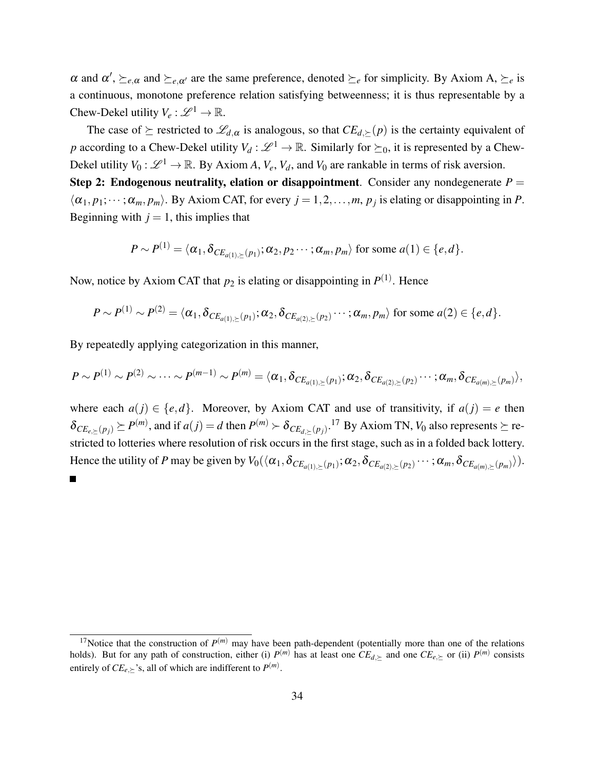$\alpha$  and  $\alpha'$ ,  $\succeq_{e,\alpha}$  and  $\succeq_{e,\alpha'}$  are the same preference, denoted  $\succeq_e$  for simplicity. By Axiom A,  $\succeq_e$  is a continuous, monotone preference relation satisfying betweenness; it is thus representable by a Chew-Dekel utility  $V_e : \mathscr{L}^1 \to \mathbb{R}$ .

The case of  $\succeq$  restricted to  $\mathscr{L}_{d,\alpha}$  is analogous, so that  $CE_{d,\succeq}(p)$  is the certainty equivalent of *p* according to a Chew-Dekel utility  $V_d : \mathcal{L}^1 \to \mathbb{R}$ . Similarly for  $\succeq_0$ , it is represented by a Chew-Dekel utility  $V_0: \mathscr{L}^1 \to \mathbb{R}$ . By Axiom *A*,  $V_e$ ,  $V_d$ , and  $V_0$  are rankable in terms of risk aversion.

Step 2: Endogenous neutrality, elation or disappointment. Consider any nondegenerate  $P =$  $\langle \alpha_1, p_1; \dots; \alpha_m, p_m \rangle$ . By Axiom CAT, for every  $j = 1, 2, \dots, m$ ,  $p_j$  is elating or disappointing in *P*. Beginning with  $j = 1$ , this implies that

$$
P \sim P^{(1)} = \langle \alpha_1, \delta_{CE_{a(1),\geq}(p_1)}; \alpha_2, p_2 \cdots; \alpha_m, p_m \rangle \text{ for some } a(1) \in \{e, d\}.
$$

Now, notice by Axiom CAT that  $p_2$  is elating or disappointing in  $P^{(1)}$ . Hence

$$
P \sim P^{(1)} \sim P^{(2)} = \langle \alpha_1, \delta_{CE_{a(1),\geq}(p_1)}; \alpha_2, \delta_{CE_{a(2),\geq}(p_2)}\cdots; \alpha_m, p_m \rangle \text{ for some } a(2) \in \{e,d\}.
$$

By repeatedly applying categorization in this manner,

$$
P \sim P^{(1)} \sim P^{(2)} \sim \cdots \sim P^{(m-1)} \sim P^{(m)} = \langle \alpha_1, \delta_{CE_{a(1),\succeq}(p_1)}; \alpha_2, \delta_{CE_{a(2),\succeq}(p_2)}\cdots; \alpha_m, \delta_{CE_{a(m),\succeq}(p_m)}\rangle,
$$

where each  $a(j) \in \{e, d\}$ . Moreover, by Axiom CAT and use of transitivity, if  $a(j) = e$  then  $\delta_{CE_{e,\succeq}(p_j)} \succeq P^{(m)}$ , and if  $a(j) = d$  then  $P^{(m)} \succ \delta_{CE_{d,\succeq}(p_j)}$ .<sup>17</sup> By Axiom TN,  $V_0$  also represents  $\succeq$  restricted to lotteries where resolution of risk occurs in the first stage, such as in a folded back lottery. Hence the utility of *P* may be given by  $V_0(\langle \alpha_1, \delta_{CE_{a(1),\succeq}(p_1)}; \alpha_2, \delta_{CE_{a(2),\succeq}(p_2)}\cdots; \alpha_m, \delta_{CE_{a(m),\succeq}(p_m)}\rangle).$ 

<sup>&</sup>lt;sup>17</sup>Notice that the construction of  $P^{(m)}$  may have been path-dependent (potentially more than one of the relations holds). But for any path of construction, either (i)  $P^{(m)}$  has at least one  $CE_{d,\succeq}$  and one  $CE_{e,\succeq}$  or (ii)  $P^{(m)}$  consists entirely of  $CE_{e,\succeq}$ 's, all of which are indifferent to  $P^{(m)}$ .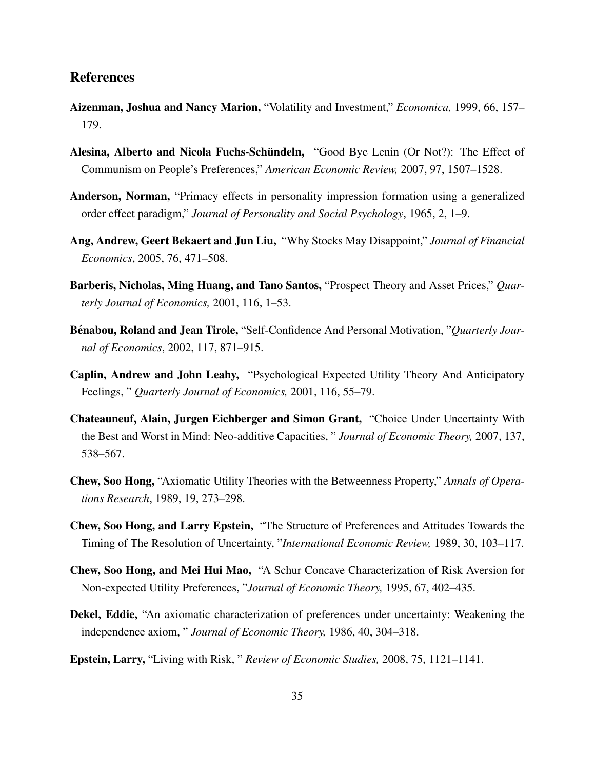# References

- Aizenman, Joshua and Nancy Marion, "Volatility and Investment," *Economica,* 1999, 66, 157– 179.
- Alesina, Alberto and Nicola Fuchs-Schündeln, "Good Bye Lenin (Or Not?): The Effect of Communism on People's Preferences," *American Economic Review,* 2007, 97, 1507–1528.
- Anderson, Norman, "Primacy effects in personality impression formation using a generalized order effect paradigm," *Journal of Personality and Social Psychology*, 1965, 2, 1–9.
- Ang, Andrew, Geert Bekaert and Jun Liu, "Why Stocks May Disappoint," *Journal of Financial Economics*, 2005, 76, 471–508.
- Barberis, Nicholas, Ming Huang, and Tano Santos, "Prospect Theory and Asset Prices," *Quarterly Journal of Economics,* 2001, 116, 1–53.
- **Bénabou, Roland and Jean Tirole,** "Self-Confidence And Personal Motivation, "*Quarterly Journal of Economics*, 2002, 117, 871–915.
- Caplin, Andrew and John Leahy, "Psychological Expected Utility Theory And Anticipatory Feelings, " *Quarterly Journal of Economics,* 2001, 116, 55–79.
- Chateauneuf, Alain, Jurgen Eichberger and Simon Grant, "Choice Under Uncertainty With the Best and Worst in Mind: Neo-additive Capacities, " *Journal of Economic Theory,* 2007, 137, 538–567.
- Chew, Soo Hong, "Axiomatic Utility Theories with the Betweenness Property," *Annals of Operations Research*, 1989, 19, 273–298.
- Chew, Soo Hong, and Larry Epstein, "The Structure of Preferences and Attitudes Towards the Timing of The Resolution of Uncertainty, "*International Economic Review,* 1989, 30, 103–117.
- Chew, Soo Hong, and Mei Hui Mao, "A Schur Concave Characterization of Risk Aversion for Non-expected Utility Preferences, "*Journal of Economic Theory,* 1995, 67, 402–435.
- Dekel, Eddie, "An axiomatic characterization of preferences under uncertainty: Weakening the independence axiom, " *Journal of Economic Theory,* 1986, 40, 304–318.
- Epstein, Larry, "Living with Risk, " *Review of Economic Studies,* 2008, 75, 1121–1141.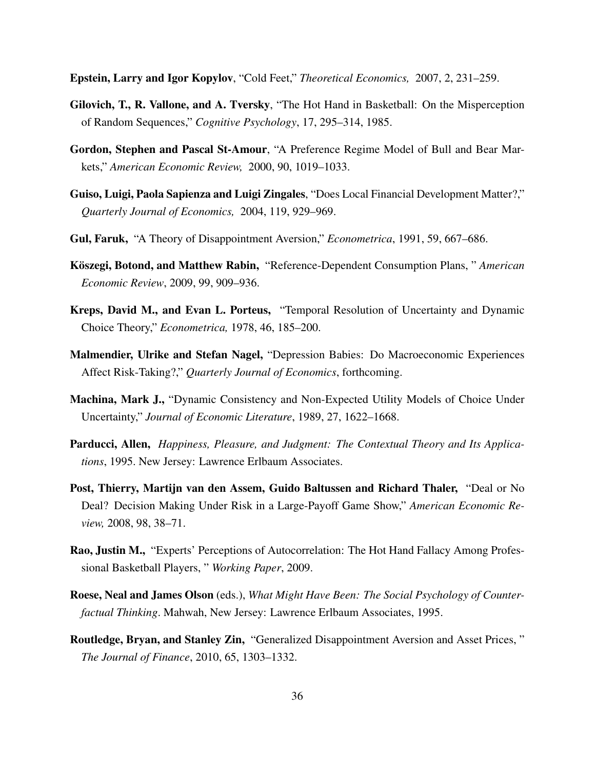Epstein, Larry and Igor Kopylov, "Cold Feet," *Theoretical Economics,* 2007, 2, 231–259.

- Gilovich, T., R. Vallone, and A. Tversky, "The Hot Hand in Basketball: On the Misperception of Random Sequences," *Cognitive Psychology*, 17, 295–314, 1985.
- Gordon, Stephen and Pascal St-Amour, "A Preference Regime Model of Bull and Bear Markets," *American Economic Review,* 2000, 90, 1019–1033.
- Guiso, Luigi, Paola Sapienza and Luigi Zingales, "Does Local Financial Development Matter?," *Quarterly Journal of Economics,* 2004, 119, 929–969.
- Gul, Faruk, "A Theory of Disappointment Aversion," *Econometrica*, 1991, 59, 667–686.
- Koszegi, Botond, and Matthew Rabin, ¨ "Reference-Dependent Consumption Plans, " *American Economic Review*, 2009, 99, 909–936.
- Kreps, David M., and Evan L. Porteus, "Temporal Resolution of Uncertainty and Dynamic Choice Theory," *Econometrica,* 1978, 46, 185–200.
- Malmendier, Ulrike and Stefan Nagel, "Depression Babies: Do Macroeconomic Experiences Affect Risk-Taking?," *Quarterly Journal of Economics*, forthcoming.
- Machina, Mark J., "Dynamic Consistency and Non-Expected Utility Models of Choice Under Uncertainty," *Journal of Economic Literature*, 1989, 27, 1622–1668.
- Parducci, Allen, *Happiness, Pleasure, and Judgment: The Contextual Theory and Its Applications*, 1995. New Jersey: Lawrence Erlbaum Associates.
- Post, Thierry, Martijn van den Assem, Guido Baltussen and Richard Thaler, "Deal or No Deal? Decision Making Under Risk in a Large-Payoff Game Show," *American Economic Review,* 2008, 98, 38–71.
- Rao, Justin M., "Experts' Perceptions of Autocorrelation: The Hot Hand Fallacy Among Professional Basketball Players, " *Working Paper*, 2009.
- Roese, Neal and James Olson (eds.), *What Might Have Been: The Social Psychology of Counterfactual Thinking*. Mahwah, New Jersey: Lawrence Erlbaum Associates, 1995.
- Routledge, Bryan, and Stanley Zin, "Generalized Disappointment Aversion and Asset Prices, " *The Journal of Finance*, 2010, 65, 1303–1332.